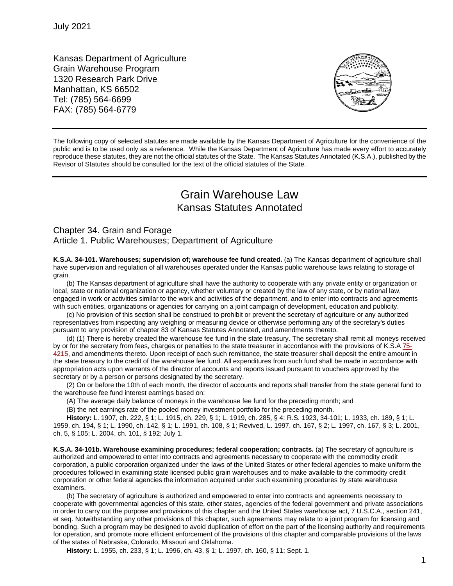Kansas Department of Agriculture Grain Warehouse Program 1320 Research Park Drive Manhattan, KS 66502 Tel: (785) 564-6699 FAX: (785) 564-6779



The following copy of selected statutes are made available by the Kansas Department of Agriculture for the convenience of the public and is to be used only as a reference. While the Kansas Department of Agriculture has made every effort to accurately reproduce these statutes, they are not the official statutes of the State. The Kansas Statutes Annotated (K.S.A.), published by the Revisor of Statutes should be consulted for the text of the official statutes of the State.

# Grain Warehouse Law Kansas Statutes Annotated

## Chapter 34. Grain and Forage Article 1. Public Warehouses; Department of Agriculture

**K.S.A. 34-101. Warehouses; supervision of; warehouse fee fund created.** (a) The Kansas department of agriculture shall have supervision and regulation of all warehouses operated under the Kansas public warehouse laws relating to storage of grain.

(b) The Kansas department of agriculture shall have the authority to cooperate with any private entity or organization or local, state or national organization or agency, whether voluntary or created by the law of any state, or by national law, engaged in work or activities similar to the work and activities of the department, and to enter into contracts and agreements with such entities, organizations or agencies for carrying on a joint campaign of development, education and publicity.

(c) No provision of this section shall be construed to prohibit or prevent the secretary of agriculture or any authorized representatives from inspecting any weighing or measuring device or otherwise performing any of the secretary's duties pursuant to any provision of chapter 83 of Kansas Statutes Annotated, and amendments thereto.

(d) (1) There is hereby created the warehouse fee fund in the state treasury. The secretary shall remit all moneys received by or for the secretary from fees, charges or penalties to the state treasurer in accordance with the provisions of K.S.A [75-](http://www.ksrevisor.org/statutes/chapters/ch75/075_042_0015.html) [4215,](http://www.ksrevisor.org/statutes/chapters/ch75/075_042_0015.html) and amendments thereto. Upon receipt of each such remittance, the state treasurer shall deposit the entire amount in the state treasury to the credit of the warehouse fee fund. All expenditures from such fund shall be made in accordance with appropriation acts upon warrants of the director of accounts and reports issued pursuant to vouchers approved by the secretary or by a person or persons designated by the secretary.

(2) On or before the 10th of each month, the director of accounts and reports shall transfer from the state general fund to the warehouse fee fund interest earnings based on:

(A) The average daily balance of moneys in the warehouse fee fund for the preceding month; and

(B) the net earnings rate of the pooled money investment portfolio for the preceding month.

**History:** L. 1907, ch. 222, § 1; L. 1915, ch. 229, § 1; L. 1919, ch. 285, § 4; R.S. 1923, 34-101; L. 1933, ch. 189, § 1; L. 1959, ch. 194, § 1; L. 1990, ch. 142, § 1; L. 1991, ch. 108, § 1; Revived, L. 1997, ch. 167, § 2; L. 1997, ch. 167, § 3; L. 2001, ch. 5, § 105; L. 2004, ch. 101, § 192; July 1.

**K.S.A. 34-101b. Warehouse examining procedures; federal cooperation; contracts.** (a) The secretary of agriculture is authorized and empowered to enter into contracts and agreements necessary to cooperate with the commodity credit corporation, a public corporation organized under the laws of the United States or other federal agencies to make uniform the procedures followed in examining state licensed public grain warehouses and to make available to the commodity credit corporation or other federal agencies the information acquired under such examining procedures by state warehouse examiners.

(b) The secretary of agriculture is authorized and empowered to enter into contracts and agreements necessary to cooperate with governmental agencies of this state, other states, agencies of the federal government and private associations in order to carry out the purpose and provisions of this chapter and the United States warehouse act, 7 U.S.C.A., section 241, et seq. Notwithstanding any other provisions of this chapter, such agreements may relate to a joint program for licensing and bonding. Such a program may be designed to avoid duplication of effort on the part of the licensing authority and requirements for operation, and promote more efficient enforcement of the provisions of this chapter and comparable provisions of the laws of the states of Nebraska, Colorado, Missouri and Oklahoma.

**History:** L. 1955, ch. 233, § 1; L. 1996, ch. 43, § 1; L. 1997, ch. 160, § 11; Sept. 1.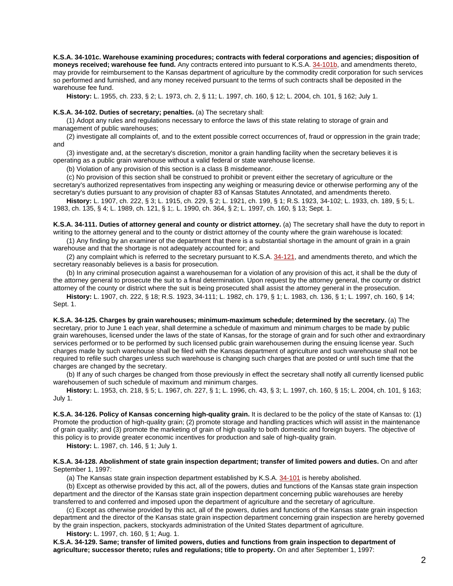**K.S.A. 34-101c. Warehouse examining procedures; contracts with federal corporations and agencies; disposition of moneys received; warehouse fee fund.** Any contracts entered into pursuant to K.S.A. [34-101b,](http://www.ksrevisor.org/statutes/chapters/ch34/034_001_0001b.html) and amendments thereto, may provide for reimbursement to the Kansas department of agriculture by the commodity credit corporation for such services so performed and furnished, and any money received pursuant to the terms of such contracts shall be deposited in the warehouse fee fund.

**History:** L. 1955, ch. 233, § 2; L. 1973, ch. 2, § 11; L. 1997, ch. 160, § 12; L. 2004, ch. 101, § 162; July 1.

#### **K.S.A. 34-102. Duties of secretary; penalties.** (a) The secretary shall:

(1) Adopt any rules and regulations necessary to enforce the laws of this state relating to storage of grain and management of public warehouses;

(2) investigate all complaints of, and to the extent possible correct occurrences of, fraud or oppression in the grain trade; and

(3) investigate and, at the secretary's discretion, monitor a grain handling facility when the secretary believes it is operating as a public grain warehouse without a valid federal or state warehouse license.

(b) Violation of any provision of this section is a class B misdemeanor.

(c) No provision of this section shall be construed to prohibit or prevent either the secretary of agriculture or the secretary's authorized representatives from inspecting any weighing or measuring device or otherwise performing any of the secretary's duties pursuant to any provision of chapter 83 of Kansas Statutes Annotated, and amendments thereto.

**History:** L. 1907, ch. 222, § 3; L. 1915, ch. 229, § 2; L. 1921, ch. 199, § 1; R.S. 1923, 34-102; L. 1933, ch. 189, § 5; L. 1983, ch. 135, § 4; L. 1989, ch. 121, § 1;. L. 1990, ch. 364, § 2; L. 1997, ch. 160, § 13; Sept. 1.

**K.S.A. 34-111. Duties of attorney general and county or district attorney.** (a) The secretary shall have the duty to report in writing to the attorney general and to the county or district attorney of the county where the grain warehouse is located:

(1) Any finding by an examiner of the department that there is a substantial shortage in the amount of grain in a grain warehouse and that the shortage is not adequately accounted for; and

(2) any complaint which is referred to the secretary pursuant to K.S.A. [34-121,](http://www.ksrevisor.org/statutes/chapters/ch34/034_001_0021.html) and amendments thereto, and which the secretary reasonably believes is a basis for prosecution.

(b) In any criminal prosecution against a warehouseman for a violation of any provision of this act, it shall be the duty of the attorney general to prosecute the suit to a final determination. Upon request by the attorney general, the county or district attorney of the county or district where the suit is being prosecuted shall assist the attorney general in the prosecution.

**History:** L. 1907, ch. 222, § 18; R.S. 1923, 34-111; L. 1982, ch. 179, § 1; L. 1983, ch. 136, § 1; L. 1997, ch. 160, § 14; Sept. 1.

**K.S.A. 34-125. Charges by grain warehouses; minimum-maximum schedule; determined by the secretary.** (a) The secretary, prior to June 1 each year, shall determine a schedule of maximum and minimum charges to be made by public grain warehouses, licensed under the laws of the state of Kansas, for the storage of grain and for such other and extraordinary services performed or to be performed by such licensed public grain warehousemen during the ensuing license year. Such charges made by such warehouse shall be filed with the Kansas department of agriculture and such warehouse shall not be required to refile such charges unless such warehouse is changing such charges that are posted or until such time that the charges are changed by the secretary.

(b) If any of such charges be changed from those previously in effect the secretary shall notify all currently licensed public warehousemen of such schedule of maximum and minimum charges.

**History:** L. 1953, ch. 218, § 5; L. 1967, ch. 227, § 1; L. 1996, ch. 43, § 3; L. 1997, ch. 160, § 15; L. 2004, ch. 101, § 163; July 1.

**K.S.A. 34-126. Policy of Kansas concerning high-quality grain.** It is declared to be the policy of the state of Kansas to: (1) Promote the production of high-quality grain; (2) promote storage and handling practices which will assist in the maintenance of grain quality; and (3) promote the marketing of grain of high quality to both domestic and foreign buyers. The objective of this policy is to provide greater economic incentives for production and sale of high-quality grain.

**History:** L. 1987, ch. 146, § 1; July 1.

**K.S.A. 34-128. Abolishment of state grain inspection department; transfer of limited powers and duties.** On and after September 1, 1997:

(a) The Kansas state grain inspection department established by K.S.A. [34-101](http://www.ksrevisor.org/statutes/chapters/ch34/034_001_0001.html) is hereby abolished.

(b) Except as otherwise provided by this act, all of the powers, duties and functions of the Kansas state grain inspection department and the director of the Kansas state grain inspection department concerning public warehouses are hereby transferred to and conferred and imposed upon the department of agriculture and the secretary of agriculture.

(c) Except as otherwise provided by this act, all of the powers, duties and functions of the Kansas state grain inspection department and the director of the Kansas state grain inspection department concerning grain inspection are hereby governed by the grain inspection, packers, stockyards administration of the United States department of agriculture.

**History:** L. 1997, ch. 160, § 1; Aug. 1.

**K.S.A. 34-129. Same; transfer of limited powers, duties and functions from grain inspection to department of agriculture; successor thereto; rules and regulations; title to property.** On and after September 1, 1997: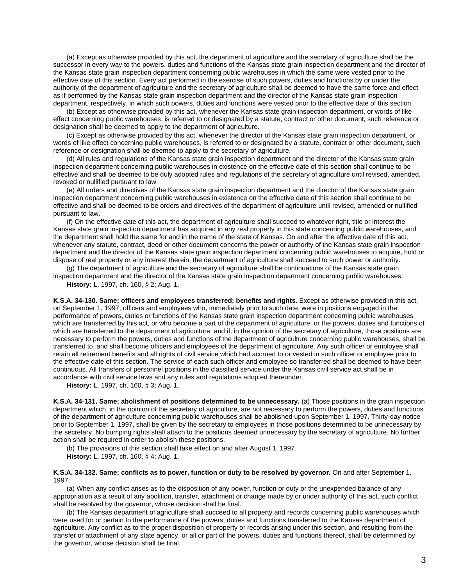(a) Except as otherwise provided by this act, the department of agriculture and the secretary of agriculture shall be the successor in every way to the powers, duties and functions of the Kansas state grain inspection department and the director of the Kansas state grain inspection department concerning public warehouses in which the same were vested prior to the effective date of this section. Every act performed in the exercise of such powers, duties and functions by or under the authority of the department of agriculture and the secretary of agriculture shall be deemed to have the same force and effect as if performed by the Kansas state grain inspection department and the director of the Kansas state grain inspection department, respectively, in which such powers, duties and functions were vested prior to the effective date of this section.

(b) Except as otherwise provided by this act, whenever the Kansas state grain inspection department, or words of like effect concerning public warehouses, is referred to or designated by a statute, contract or other document, such reference or designation shall be deemed to apply to the department of agriculture.

(c) Except as otherwise provided by this act, whenever the director of the Kansas state grain inspection department, or words of like effect concerning public warehouses, is referred to or designated by a statute, contract or other document, such reference or designation shall be deemed to apply to the secretary of agriculture.

(d) All rules and regulations of the Kansas state grain inspection department and the director of the Kansas state grain inspection department concerning public warehouses in existence on the effective date of this section shall continue to be effective and shall be deemed to be duly adopted rules and regulations of the secretary of agriculture until revised, amended, revoked or nullified pursuant to law.

(e) All orders and directives of the Kansas state grain inspection department and the director of the Kansas state grain inspection department concerning public warehouses in existence on the effective date of this section shall continue to be effective and shall be deemed to be orders and directives of the department of agriculture until revised, amended or nullified pursuant to law.

(f) On the effective date of this act, the department of agriculture shall succeed to whatever right, title or interest the Kansas state grain inspection department has acquired in any real property in this state concerning public warehouses, and the department shall hold the same for and in the name of the state of Kansas. On and after the effective date of this act, whenever any statute, contract, deed or other document concerns the power or authority of the Kansas state grain inspection department and the director of the Kansas state grain inspection department concerning public warehouses to acquire, hold or dispose of real property or any interest therein, the department of agriculture shall succeed to such power or authority.

(g) The department of agriculture and the secretary of agriculture shall be continuations of the Kansas state grain inspection department and the director of the Kansas state grain inspection department concerning public warehouses.

**History:** L. 1997, ch. 160, § 2; Aug. 1.

**K.S.A. 34-130. Same; officers and employees transferred; benefits and rights.** Except as otherwise provided in this act, on September 1, 1997, officers and employees who, immediately prior to such date, were in positions engaged in the performance of powers, duties or functions of the Kansas state grain inspection department concerning public warehouses which are transferred by this act, or who become a part of the department of agriculture, or the powers, duties and functions of which are transferred to the department of agriculture, and if, in the opinion of the secretary of agriculture, those positions are necessary to perform the powers, duties and functions of the department of agriculture concerning public warehouses, shall be transferred to, and shall become officers and employees of the department of agriculture. Any such officer or employee shall retain all retirement benefits and all rights of civil service which had accrued to or vested in such officer or employee prior to the effective date of this section. The service of each such officer and employee so transferred shall be deemed to have been continuous. All transfers of personnel positions in the classified service under the Kansas civil service act shall be in accordance with civil service laws and any rules and regulations adopted thereunder.

**History:** L. 1997, ch. 160, § 3; Aug. 1.

**K.S.A. 34-131. Same; abolishment of positions determined to be unnecessary.** (a) Those positions in the grain inspection department which, in the opinion of the secretary of agriculture, are not necessary to perform the powers, duties and functions of the department of agriculture concerning public warehouses shall be abolished upon September 1, 1997. Thirty-day notice prior to September 1, 1997, shall be given by the secretary to employees in those positions determined to be unnecessary by the secretary. No bumping rights shall attach to the positions deemed unnecessary by the secretary of agriculture. No further action shall be required in order to abolish these positions.

(b) The provisions of this section shall take effect on and after August 1, 1997.

**History:** L. 1997, ch. 160, § 4; Aug. 1.

**K.S.A. 34-132. Same; conflicts as to power, function or duty to be resolved by governor.** On and after September 1, 1997:

(a) When any conflict arises as to the disposition of any power, function or duty or the unexpended balance of any appropriation as a result of any abolition, transfer, attachment or change made by or under authority of this act, such conflict shall be resolved by the governor, whose decision shall be final.

(b) The Kansas department of agriculture shall succeed to all property and records concerning public warehouses which were used for or pertain to the performance of the powers, duties and functions transferred to the Kansas department of agriculture. Any conflict as to the proper disposition of property or records arising under this section, and resulting from the transfer or attachment of any state agency, or all or part of the powers, duties and functions thereof, shall be determined by the governor, whose decision shall be final.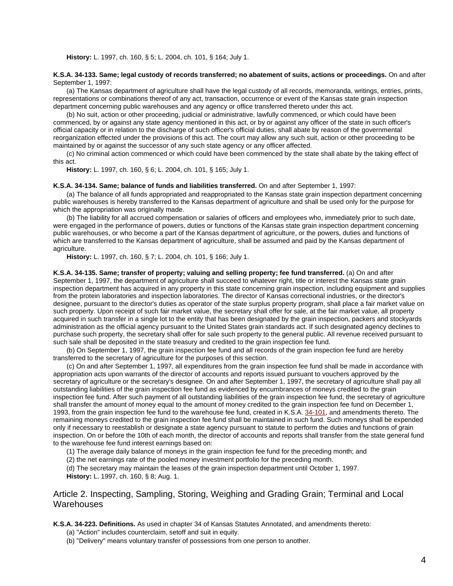**History:** L. 1997, ch. 160, § 5; L. 2004, ch. 101, § 164; July 1.

#### **K.S.A. 34-133. Same; legal custody of records transferred; no abatement of suits, actions or proceedings.** On and after September 1, 1997:

(a) The Kansas department of agriculture shall have the legal custody of all records, memoranda, writings, entries, prints, representations or combinations thereof of any act, transaction, occurrence or event of the Kansas state grain inspection department concerning public warehouses and any agency or office transferred thereto under this act.

(b) No suit, action or other proceeding, judicial or administrative, lawfully commenced, or which could have been commenced, by or against any state agency mentioned in this act, or by or against any officer of the state in such officer's official capacity or in relation to the discharge of such officer's official duties, shall abate by reason of the governmental reorganization effected under the provisions of this act. The court may allow any such suit, action or other proceeding to be maintained by or against the successor of any such state agency or any officer affected.

(c) No criminal action commenced or which could have been commenced by the state shall abate by the taking effect of this act.

**History:** L. 1997, ch. 160, § 6; L. 2004, ch. 101, § 165; July 1.

#### **K.S.A. 34-134. Same; balance of funds and liabilities transferred.** On and after September 1, 1997:

(a) The balance of all funds appropriated and reappropriated to the Kansas state grain inspection department concerning public warehouses is hereby transferred to the Kansas department of agriculture and shall be used only for the purpose for which the appropriation was originally made.

(b) The liability for all accrued compensation or salaries of officers and employees who, immediately prior to such date, were engaged in the performance of powers, duties or functions of the Kansas state grain inspection department concerning public warehouses, or who become a part of the Kansas department of agriculture, or the powers, duties and functions of which are transferred to the Kansas department of agriculture, shall be assumed and paid by the Kansas department of agriculture.

**History:** L. 1997, ch. 160, § 7; L. 2004, ch. 101, § 166; July 1.

**K.S.A. 34-135. Same; transfer of property; valuing and selling property; fee fund transferred.** (a) On and after September 1, 1997, the department of agriculture shall succeed to whatever right, title or interest the Kansas state grain inspection department has acquired in any property in this state concerning grain inspection, including equipment and supplies from the protein laboratories and inspection laboratories. The director of Kansas correctional industries, or the director's designee, pursuant to the director's duties as operator of the state surplus property program, shall place a fair market value on such property. Upon receipt of such fair market value, the secretary shall offer for sale, at the fair market value, all property acquired in such transfer in a single lot to the entity that has been designated by the grain inspection, packers and stockyards administration as the official agency pursuant to the United States grain standards act. If such designated agency declines to purchase such property, the secretary shall offer for sale such property to the general public. All revenue received pursuant to such sale shall be deposited in the state treasury and credited to the grain inspection fee fund.

(b) On September 1, 1997, the grain inspection fee fund and all records of the grain inspection fee fund are hereby transferred to the secretary of agriculture for the purposes of this section.

(c) On and after September 1, 1997, all expenditures from the grain inspection fee fund shall be made in accordance with appropriation acts upon warrants of the director of accounts and reports issued pursuant to vouchers approved by the secretary of agriculture or the secretary's designee. On and after September 1, 1997, the secretary of agriculture shall pay all outstanding liabilities of the grain inspection fee fund as evidenced by encumbrances of moneys credited to the grain inspection fee fund. After such payment of all outstanding liabilities of the grain inspection fee fund, the secretary of agriculture shall transfer the amount of money equal to the amount of money credited to the grain inspection fee fund on December 1, 1993, from the grain inspection fee fund to the warehouse fee fund, created in K.S.A. [34-101,](http://www.ksrevisor.org/statutes/chapters/ch34/034_001_0001.html) and amendments thereto. The remaining moneys credited to the grain inspection fee fund shall be maintained in such fund. Such moneys shall be expended only if necessary to reestablish or designate a state agency pursuant to statute to perform the duties and functions of grain inspection. On or before the 10th of each month, the director of accounts and reports shall transfer from the state general fund to the warehouse fee fund interest earnings based on:

(1) The average daily balance of moneys in the grain inspection fee fund for the preceding month; and

(2) the net earnings rate of the pooled money investment portfolio for the preceding month.

(d) The secretary may maintain the leases of the grain inspection department until October 1, 1997. **History:** L. 1997, ch. 160, § 8; Aug. 1.

Article 2. Inspecting, Sampling, Storing, Weighing and Grading Grain; Terminal and Local **Warehouses** 

**K.S.A. 34-223. Definitions.** As used in chapter 34 of Kansas Statutes Annotated, and amendments thereto:

- (a) "Action" includes counterclaim, setoff and suit in equity.
- (b) "Delivery" means voluntary transfer of possessions from one person to another.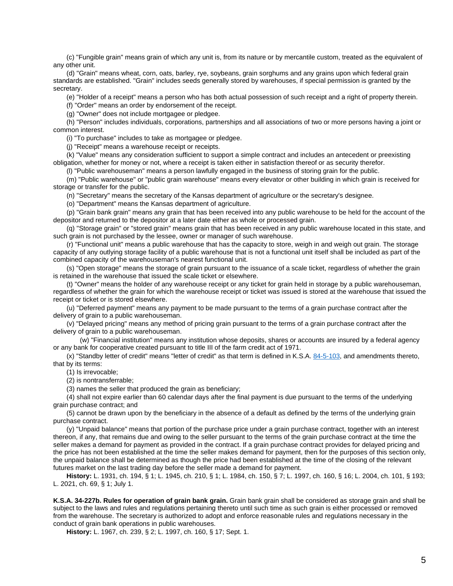(c) "Fungible grain" means grain of which any unit is, from its nature or by mercantile custom, treated as the equivalent of any other unit.

(d) "Grain" means wheat, corn, oats, barley, rye, soybeans, grain sorghums and any grains upon which federal grain standards are established. "Grain" includes seeds generally stored by warehouses, if special permission is granted by the secretary.

(e) "Holder of a receipt" means a person who has both actual possession of such receipt and a right of property therein.

(f) "Order" means an order by endorsement of the receipt.

(g) "Owner" does not include mortgagee or pledgee.

(h) "Person" includes individuals, corporations, partnerships and all associations of two or more persons having a joint or common interest.

(i) "To purchase" includes to take as mortgagee or pledgee.

(j) "Receipt" means a warehouse receipt or receipts.

(k) "Value" means any consideration sufficient to support a simple contract and includes an antecedent or preexisting obligation, whether for money or not, where a receipt is taken either in satisfaction thereof or as security therefor.

(l) "Public warehouseman" means a person lawfully engaged in the business of storing grain for the public.

(m) "Public warehouse" or "public grain warehouse" means every elevator or other building in which grain is received for storage or transfer for the public.

(n) "Secretary" means the secretary of the Kansas department of agriculture or the secretary's designee.

(o) "Department" means the Kansas department of agriculture.

(p) "Grain bank grain" means any grain that has been received into any public warehouse to be held for the account of the depositor and returned to the depositor at a later date either as whole or processed grain.

(q) "Storage grain" or "stored grain" means grain that has been received in any public warehouse located in this state, and such grain is not purchased by the lessee, owner or manager of such warehouse.

(r) "Functional unit" means a public warehouse that has the capacity to store, weigh in and weigh out grain. The storage capacity of any outlying storage facility of a public warehouse that is not a functional unit itself shall be included as part of the combined capacity of the warehouseman's nearest functional unit.

(s) "Open storage" means the storage of grain pursuant to the issuance of a scale ticket, regardless of whether the grain is retained in the warehouse that issued the scale ticket or elsewhere.

(t) "Owner" means the holder of any warehouse receipt or any ticket for grain held in storage by a public warehouseman, regardless of whether the grain for which the warehouse receipt or ticket was issued is stored at the warehouse that issued the receipt or ticket or is stored elsewhere.

(u) "Deferred payment" means any payment to be made pursuant to the terms of a grain purchase contract after the delivery of grain to a public warehouseman.

(v) "Delayed pricing" means any method of pricing grain pursuant to the terms of a grain purchase contract after the delivery of grain to a public warehouseman.

(w) "Financial institution" means any institution whose deposits, shares or accounts are insured by a federal agency or any bank for cooperative created pursuant to title III of the farm credit act of 1971.

(x) "Standby letter of credit" means "letter of credit" as that term is defined in K.S.A. [84-5-103,](http://www.ksrevisor.org/statutes/chapters/ch84/084_005_0103.html) and amendments thereto, that by its terms:

(1) Is irrevocable;

(2) is nontransferrable;

(3) names the seller that produced the grain as beneficiary;

(4) shall not expire earlier than 60 calendar days after the final payment is due pursuant to the terms of the underlying grain purchase contract; and

(5) cannot be drawn upon by the beneficiary in the absence of a default as defined by the terms of the underlying grain purchase contract.

(y) "Unpaid balance" means that portion of the purchase price under a grain purchase contract, together with an interest thereon, if any, that remains due and owing to the seller pursuant to the terms of the grain purchase contract at the time the seller makes a demand for payment as provided in the contract. If a grain purchase contract provides for delayed pricing and the price has not been established at the time the seller makes demand for payment, then for the purposes of this section only, the unpaid balance shall be determined as though the price had been established at the time of the closing of the relevant futures market on the last trading day before the seller made a demand for payment.

**History:** L. 1931, ch. 194, § 1; L. 1945, ch. 210, § 1; L. 1984, ch. 150, § 7; L. 1997, ch. 160, § 16; L. 2004, ch. 101, § 193; L. 2021, ch. 69, § 1; July 1.

**K.S.A. 34-227b. Rules for operation of grain bank grain.** Grain bank grain shall be considered as storage grain and shall be subject to the laws and rules and regulations pertaining thereto until such time as such grain is either processed or removed from the warehouse. The secretary is authorized to adopt and enforce reasonable rules and regulations necessary in the conduct of grain bank operations in public warehouses.

**History:** L. 1967, ch. 239, § 2; L. 1997, ch. 160, § 17; Sept. 1.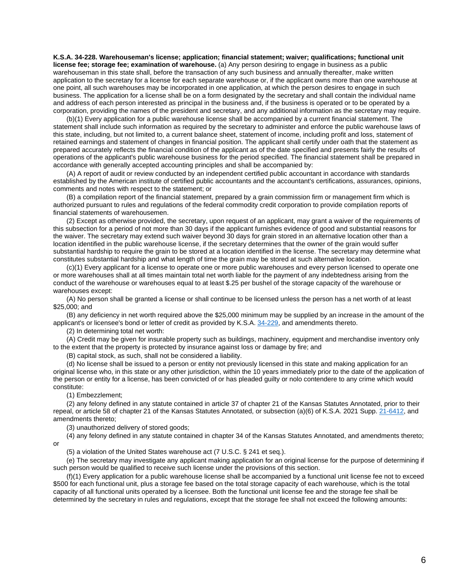**K.S.A. 34-228. Warehouseman's license; application; financial statement; waiver; qualifications; functional unit license fee; storage fee; examination of warehouse.** (a) Any person desiring to engage in business as a public warehouseman in this state shall, before the transaction of any such business and annually thereafter, make written application to the secretary for a license for each separate warehouse or, if the applicant owns more than one warehouse at one point, all such warehouses may be incorporated in one application, at which the person desires to engage in such business. The application for a license shall be on a form designated by the secretary and shall contain the individual name and address of each person interested as principal in the business and, if the business is operated or to be operated by a corporation, providing the names of the president and secretary, and any additional information as the secretary may require.

(b)(1) Every application for a public warehouse license shall be accompanied by a current financial statement. The statement shall include such information as required by the secretary to administer and enforce the public warehouse laws of this state, including, but not limited to, a current balance sheet, statement of income, including profit and loss, statement of retained earnings and statement of changes in financial position. The applicant shall certify under oath that the statement as prepared accurately reflects the financial condition of the applicant as of the date specified and presents fairly the results of operations of the applicant's public warehouse business for the period specified. The financial statement shall be prepared in accordance with generally accepted accounting principles and shall be accompanied by:

(A) A report of audit or review conducted by an independent certified public accountant in accordance with standards established by the American institute of certified public accountants and the accountant's certifications, assurances, opinions, comments and notes with respect to the statement; or

(B) a compilation report of the financial statement, prepared by a grain commission firm or management firm which is authorized pursuant to rules and regulations of the federal commodity credit corporation to provide compilation reports of financial statements of warehousemen.

(2) Except as otherwise provided, the secretary, upon request of an applicant, may grant a waiver of the requirements of this subsection for a period of not more than 30 days if the applicant furnishes evidence of good and substantial reasons for the waiver. The secretary may extend such waiver beyond 30 days for grain stored in an alternative location other than a location identified in the public warehouse license, if the secretary determines that the owner of the grain would suffer substantial hardship to require the grain to be stored at a location identified in the license. The secretary may determine what constitutes substantial hardship and what length of time the grain may be stored at such alternative location.

(c)(1) Every applicant for a license to operate one or more public warehouses and every person licensed to operate one or more warehouses shall at all times maintain total net worth liable for the payment of any indebtedness arising from the conduct of the warehouse or warehouses equal to at least \$.25 per bushel of the storage capacity of the warehouse or warehouses except:

(A) No person shall be granted a license or shall continue to be licensed unless the person has a net worth of at least \$25,000; and

(B) any deficiency in net worth required above the \$25,000 minimum may be supplied by an increase in the amount of the applicant's or licensee's bond or letter of credit as provided by K.S.A. [34-229,](http://www.ksrevisor.org/statutes/chapters/ch34/034_002_0029.html) and amendments thereto.

(2) In determining total net worth:

(A) Credit may be given for insurable property such as buildings, machinery, equipment and merchandise inventory only to the extent that the property is protected by insurance against loss or damage by fire; and

(B) capital stock, as such, shall not be considered a liability.

(d) No license shall be issued to a person or entity not previously licensed in this state and making application for an original license who, in this state or any other jurisdiction, within the 10 years immediately prior to the date of the application of the person or entity for a license, has been convicted of or has pleaded guilty or nolo contendere to any crime which would constitute:

(1) Embezzlement;

(2) any felony defined in any statute contained in article 37 of chapter 21 of the Kansas Statutes Annotated, prior to their repeal, or article 58 of chapter 21 of the Kansas Statutes Annotated, or subsection (a)(6) of K.S.A. 2021 Supp. [21-6412,](http://www.ksrevisor.org/statutes/chapters/ch21/021_064_0012.html) and amendments thereto;

(3) unauthorized delivery of stored goods;

(4) any felony defined in any statute contained in chapter 34 of the Kansas Statutes Annotated, and amendments thereto; or

(5) a violation of the United States warehouse act (7 U.S.C. § 241 et seq.).

(e) The secretary may investigate any applicant making application for an original license for the purpose of determining if such person would be qualified to receive such license under the provisions of this section.

(f)(1) Every application for a public warehouse license shall be accompanied by a functional unit license fee not to exceed \$500 for each functional unit, plus a storage fee based on the total storage capacity of each warehouse, which is the total capacity of all functional units operated by a licensee. Both the functional unit license fee and the storage fee shall be determined by the secretary in rules and regulations, except that the storage fee shall not exceed the following amounts: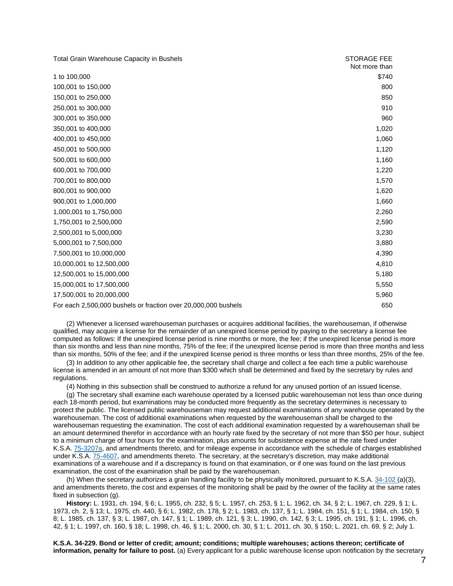| <b>Total Grain Warehouse Capacity in Bushels</b>               | <b>STORAGE FEE</b> |
|----------------------------------------------------------------|--------------------|
|                                                                | Not more than      |
| 1 to 100,000                                                   | \$740              |
| 100,001 to 150,000                                             | 800                |
| 150,001 to 250,000                                             | 850                |
| 250,001 to 300,000                                             | 910                |
| 300,001 to 350,000                                             | 960                |
| 350,001 to 400,000                                             | 1,020              |
| 400,001 to 450,000                                             | 1,060              |
| 450,001 to 500,000                                             | 1,120              |
| 500,001 to 600,000                                             | 1,160              |
| 600,001 to 700,000                                             | 1,220              |
| 700,001 to 800,000                                             | 1,570              |
| 800,001 to 900,000                                             | 1,620              |
| 900,001 to 1,000,000                                           | 1,660              |
| 1,000,001 to 1,750,000                                         | 2,260              |
| 1,750,001 to 2,500,000                                         | 2,590              |
| 2,500,001 to 5,000,000                                         | 3,230              |
| 5,000,001 to 7,500,000                                         | 3,880              |
| 7,500,001 to 10,000,000                                        | 4,390              |
| 10,000,001 to 12,500,000                                       | 4,810              |
| 12,500,001 to 15,000,000                                       | 5,180              |
| 15,000,001 to 17,500,000                                       | 5,550              |
| 17,500,001 to 20,000,000                                       | 5,960              |
| For each 2,500,000 bushels or fraction over 20,000,000 bushels | 650                |

(2) Whenever a licensed warehouseman purchases or acquires additional facilities, the warehouseman, if otherwise qualified, may acquire a license for the remainder of an unexpired license period by paying to the secretary a license fee computed as follows: If the unexpired license period is nine months or more, the fee; if the unexpired license period is more than six months and less than nine months, 75% of the fee; if the unexpired license period is more than three months and less than six months, 50% of the fee; and if the unexpired license period is three months or less than three months, 25% of the fee.

(3) In addition to any other applicable fee, the secretary shall charge and collect a fee each time a public warehouse license is amended in an amount of not more than \$300 which shall be determined and fixed by the secretary by rules and regulations.

(4) Nothing in this subsection shall be construed to authorize a refund for any unused portion of an issued license.

(g) The secretary shall examine each warehouse operated by a licensed public warehouseman not less than once during each 18-month period, but examinations may be conducted more frequently as the secretary determines is necessary to protect the public. The licensed public warehouseman may request additional examinations of any warehouse operated by the warehouseman. The cost of additional examinations when requested by the warehouseman shall be charged to the warehouseman requesting the examination. The cost of each additional examination requested by a warehouseman shall be an amount determined therefor in accordance with an hourly rate fixed by the secretary of not more than \$50 per hour, subject to a minimum charge of four hours for the examination, plus amounts for subsistence expense at the rate fixed under K.S.A. [75-3207a,](http://www.ksrevisor.org/statutes/chapters/ch75/075_032_0007a.html) and amendments thereto, and for mileage expense in accordance with the schedule of charges established under K.S.A. [75-4607,](http://www.ksrevisor.org/statutes/chapters/ch75/075_046_0007.html) and amendments thereto. The secretary, at the secretary's discretion, may make additional examinations of a warehouse and if a discrepancy is found on that examination, or if one was found on the last previous examination, the cost of the examination shall be paid by the warehouseman.

(h) When the secretary authorizes a grain handling facility to be physically monitored, pursuant to K.S.A. [34-102](http://www.ksrevisor.org/statutes/chapters/ch34/034_001_0002.html) (a)(3), and amendments thereto, the cost and expenses of the monitoring shall be paid by the owner of the facility at the same rates fixed in subsection (g).

**History:** L. 1931, ch. 194, § 6; L. 1955, ch. 232, § 5; L. 1957, ch. 253, § 1; L. 1962, ch. 34, § 2; L. 1967, ch. 229, § 1; L. 1973, ch. 2, § 13; L. 1975, ch. 440, § 6; L. 1982, ch. 178, § 2; L. 1983, ch. 137, § 1; L. 1984, ch. 151, § 1; L. 1984, ch. 150, § 8; L. 1985, ch. 137, § 3; L. 1987, ch. 147, § 1; L. 1989, ch. 121, § 3; L. 1990, ch. 142, § 3; L. 1995, ch. 191, § 1; L. 1996, ch. 42, § 1; L. 1997, ch. 160, § 18; L. 1998, ch. 46, § 1; L. 2000, ch. 30, § 1; L. 2011, ch. 30, § 150; L. 2021, ch. 69, § 2; July 1.

**K.S.A. 34-229. Bond or letter of credit; amount; conditions; multiple warehouses; actions thereon; certificate of information, penalty for failure to post.** (a) Every applicant for a public warehouse license upon notification by the secretary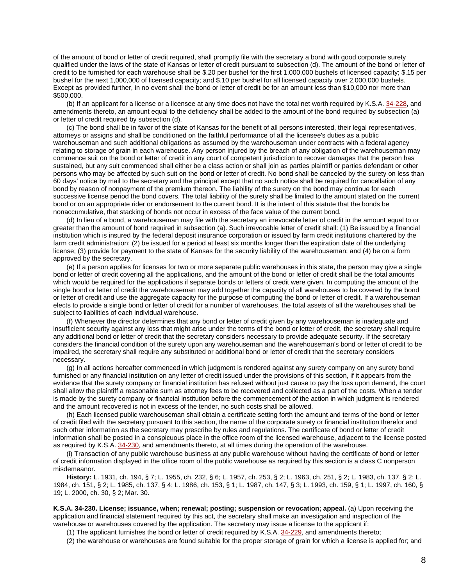of the amount of bond or letter of credit required, shall promptly file with the secretary a bond with good corporate surety qualified under the laws of the state of Kansas or letter of credit pursuant to subsection (d). The amount of the bond or letter of credit to be furnished for each warehouse shall be \$.20 per bushel for the first 1,000,000 bushels of licensed capacity; \$.15 per bushel for the next 1,000,000 of licensed capacity; and \$.10 per bushel for all licensed capacity over 2,000,000 bushels. Except as provided further, in no event shall the bond or letter of credit be for an amount less than \$10,000 nor more than \$500,000.

(b) If an applicant for a license or a licensee at any time does not have the total net worth required by K.S.A. [34-228,](http://www.ksrevisor.org/statutes/chapters/ch34/034_002_0028.html) and amendments thereto, an amount equal to the deficiency shall be added to the amount of the bond required by subsection (a) or letter of credit required by subsection (d).

(c) The bond shall be in favor of the state of Kansas for the benefit of all persons interested, their legal representatives, attorneys or assigns and shall be conditioned on the faithful performance of all the licensee's duties as a public warehouseman and such additional obligations as assumed by the warehouseman under contracts with a federal agency relating to storage of grain in each warehouse. Any person injured by the breach of any obligation of the warehouseman may commence suit on the bond or letter of credit in any court of competent jurisdiction to recover damages that the person has sustained, but any suit commenced shall either be a class action or shall join as parties plaintiff or parties defendant or other persons who may be affected by such suit on the bond or letter of credit. No bond shall be canceled by the surety on less than 60 days' notice by mail to the secretary and the principal except that no such notice shall be required for cancellation of any bond by reason of nonpayment of the premium thereon. The liability of the surety on the bond may continue for each successive license period the bond covers. The total liability of the surety shall be limited to the amount stated on the current bond or on an appropriate rider or endorsement to the current bond. It is the intent of this statute that the bonds be nonaccumulative, that stacking of bonds not occur in excess of the face value of the current bond.

(d) In lieu of a bond, a warehouseman may file with the secretary an irrevocable letter of credit in the amount equal to or greater than the amount of bond required in subsection (a). Such irrevocable letter of credit shall: (1) Be issued by a financial institution which is insured by the federal deposit insurance corporation or issued by farm credit institutions chartered by the farm credit administration; (2) be issued for a period at least six months longer than the expiration date of the underlying license; (3) provide for payment to the state of Kansas for the security liability of the warehouseman; and (4) be on a form approved by the secretary.

(e) If a person applies for licenses for two or more separate public warehouses in this state, the person may give a single bond or letter of credit covering all the applications, and the amount of the bond or letter of credit shall be the total amounts which would be required for the applications if separate bonds or letters of credit were given. In computing the amount of the single bond or letter of credit the warehouseman may add together the capacity of all warehouses to be covered by the bond or letter of credit and use the aggregate capacity for the purpose of computing the bond or letter of credit. If a warehouseman elects to provide a single bond or letter of credit for a number of warehouses, the total assets of all the warehouses shall be subject to liabilities of each individual warehouse.

(f) Whenever the director determines that any bond or letter of credit given by any warehouseman is inadequate and insufficient security against any loss that might arise under the terms of the bond or letter of credit, the secretary shall require any additional bond or letter of credit that the secretary considers necessary to provide adequate security. If the secretary considers the financial condition of the surety upon any warehouseman and the warehouseman's bond or letter of credit to be impaired, the secretary shall require any substituted or additional bond or letter of credit that the secretary considers necessary.

(g) In all actions hereafter commenced in which judgment is rendered against any surety company on any surety bond furnished or any financial institution on any letter of credit issued under the provisions of this section, if it appears from the evidence that the surety company or financial institution has refused without just cause to pay the loss upon demand, the court shall allow the plaintiff a reasonable sum as attorney fees to be recovered and collected as a part of the costs. When a tender is made by the surety company or financial institution before the commencement of the action in which judgment is rendered and the amount recovered is not in excess of the tender, no such costs shall be allowed.

(h) Each licensed public warehouseman shall obtain a certificate setting forth the amount and terms of the bond or letter of credit filed with the secretary pursuant to this section, the name of the corporate surety or financial institution therefor and such other information as the secretary may prescribe by rules and regulations. The certificate of bond or letter of credit information shall be posted in a conspicuous place in the office room of the licensed warehouse, adjacent to the license posted as required by K.S.A. [34-230,](http://www.ksrevisor.org/statutes/chapters/ch34/034_002_0030.html) and amendments thereto, at all times during the operation of the warehouse.

(i) Transaction of any public warehouse business at any public warehouse without having the certificate of bond or letter of credit information displayed in the office room of the public warehouse as required by this section is a class C nonperson misdemeanor.

**History:** L. 1931, ch. 194, § 7; L. 1955, ch. 232, § 6; L. 1957, ch. 253, § 2; L. 1963, ch. 251, § 2; L. 1983, ch. 137, § 2; L. 1984, ch. 151, § 2; L. 1985, ch. 137, § 4; L. 1986, ch. 153, § 1; L. 1987, ch. 147, § 3; L. 1993, ch. 159, § 1; L. 1997, ch. 160, § 19; L. 2000, ch. 30, § 2; Mar. 30.

**K.S.A. 34-230. License; issuance, when; renewal; posting; suspension or revocation; appeal.** (a) Upon receiving the application and financial statement required by this act, the secretary shall make an investigation and inspection of the warehouse or warehouses covered by the application. The secretary may issue a license to the applicant if:

(1) The applicant furnishes the bond or letter of credit required by K.S.A. [34-229,](http://www.ksrevisor.org/statutes/chapters/ch34/034_002_0029.html) and amendments thereto;

(2) the warehouse or warehouses are found suitable for the proper storage of grain for which a license is applied for; and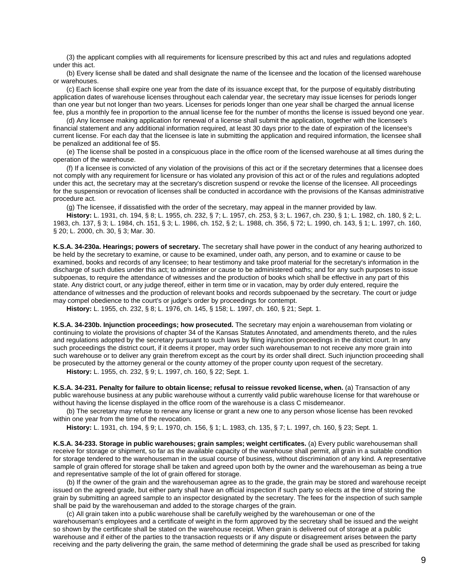(3) the applicant complies with all requirements for licensure prescribed by this act and rules and regulations adopted under this act.

(b) Every license shall be dated and shall designate the name of the licensee and the location of the licensed warehouse or warehouses.

(c) Each license shall expire one year from the date of its issuance except that, for the purpose of equitably distributing application dates of warehouse licenses throughout each calendar year, the secretary may issue licenses for periods longer than one year but not longer than two years. Licenses for periods longer than one year shall be charged the annual license fee, plus a monthly fee in proportion to the annual license fee for the number of months the license is issued beyond one year.

(d) Any licensee making application for renewal of a license shall submit the application, together with the licensee's financial statement and any additional information required, at least 30 days prior to the date of expiration of the licensee's current license. For each day that the licensee is late in submitting the application and required information, the licensee shall be penalized an additional fee of \$5.

(e) The license shall be posted in a conspicuous place in the office room of the licensed warehouse at all times during the operation of the warehouse.

(f) If a licensee is convicted of any violation of the provisions of this act or if the secretary determines that a licensee does not comply with any requirement for licensure or has violated any provision of this act or of the rules and regulations adopted under this act, the secretary may at the secretary's discretion suspend or revoke the license of the licensee. All proceedings for the suspension or revocation of licenses shall be conducted in accordance with the provisions of the Kansas administrative procedure act.

(g) The licensee, if dissatisfied with the order of the secretary, may appeal in the manner provided by law.

**History:** L. 1931, ch. 194, § 8; L. 1955, ch. 232, § 7; L. 1957, ch. 253, § 3; L. 1967, ch. 230, § 1; L. 1982, ch. 180, § 2; L. 1983, ch. 137, § 3; L. 1984, ch. 151, § 3; L. 1986, ch. 152, § 2; L. 1988, ch. 356, § 72; L. 1990, ch. 143, § 1; L. 1997, ch. 160, § 20; L. 2000, ch. 30, § 3; Mar. 30.

**K.S.A. 34-230a. Hearings; powers of secretary.** The secretary shall have power in the conduct of any hearing authorized to be held by the secretary to examine, or cause to be examined, under oath, any person, and to examine or cause to be examined, books and records of any licensee; to hear testimony and take proof material for the secretary's information in the discharge of such duties under this act; to administer or cause to be administered oaths; and for any such purposes to issue subpoenas, to require the attendance of witnesses and the production of books which shall be effective in any part of this state. Any district court, or any judge thereof, either in term time or in vacation, may by order duly entered, require the attendance of witnesses and the production of relevant books and records subpoenaed by the secretary. The court or judge may compel obedience to the court's or judge's order by proceedings for contempt.

**History:** L. 1955, ch. 232, § 8; L. 1976, ch. 145, § 158; L. 1997, ch. 160, § 21; Sept. 1.

**K.S.A. 34-230b. Injunction proceedings; how prosecuted.** The secretary may enjoin a warehouseman from violating or continuing to violate the provisions of chapter 34 of the Kansas Statutes Annotated, and amendments thereto, and the rules and regulations adopted by the secretary pursuant to such laws by filing injunction proceedings in the district court. In any such proceedings the district court, if it deems it proper, may order such warehouseman to not receive any more grain into such warehouse or to deliver any grain therefrom except as the court by its order shall direct. Such injunction proceeding shall be prosecuted by the attorney general or the county attorney of the proper county upon request of the secretary. **History:** L. 1955, ch. 232, § 9; L. 1997, ch. 160, § 22; Sept. 1.

**K.S.A. 34-231. Penalty for failure to obtain license; refusal to reissue revoked license, when.** (a) Transaction of any public warehouse business at any public warehouse without a currently valid public warehouse license for that warehouse or without having the license displayed in the office room of the warehouse is a class C misdemeanor.

(b) The secretary may refuse to renew any license or grant a new one to any person whose license has been revoked within one year from the time of the revocation.

**History:** L. 1931, ch. 194, § 9; L. 1970, ch. 156, § 1; L. 1983, ch. 135, § 7; L. 1997, ch. 160, § 23; Sept. 1.

**K.S.A. 34-233. Storage in public warehouses; grain samples; weight certificates.** (a) Every public warehouseman shall receive for storage or shipment, so far as the available capacity of the warehouse shall permit, all grain in a suitable condition for storage tendered to the warehouseman in the usual course of business, without discrimination of any kind. A representative sample of grain offered for storage shall be taken and agreed upon both by the owner and the warehouseman as being a true and representative sample of the lot of grain offered for storage.

(b) If the owner of the grain and the warehouseman agree as to the grade, the grain may be stored and warehouse receipt issued on the agreed grade, but either party shall have an official inspection if such party so elects at the time of storing the grain by submitting an agreed sample to an inspector designated by the secretary. The fees for the inspection of such sample shall be paid by the warehouseman and added to the storage charges of the grain.

(c) All grain taken into a public warehouse shall be carefully weighed by the warehouseman or one of the warehouseman's employees and a certificate of weight in the form approved by the secretary shall be issued and the weight so shown by the certificate shall be stated on the warehouse receipt. When grain is delivered out of storage at a public warehouse and if either of the parties to the transaction requests or if any dispute or disagreement arises between the party receiving and the party delivering the grain, the same method of determining the grade shall be used as prescribed for taking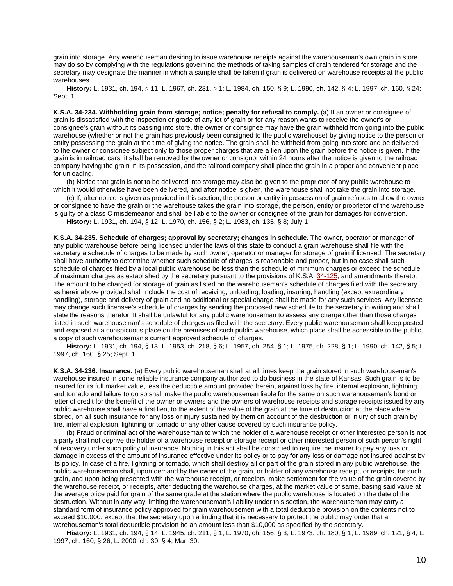grain into storage. Any warehouseman desiring to issue warehouse receipts against the warehouseman's own grain in store may do so by complying with the regulations governing the methods of taking samples of grain tendered for storage and the secretary may designate the manner in which a sample shall be taken if grain is delivered on warehouse receipts at the public warehouses.

**History:** L. 1931, ch. 194, § 11; L. 1967, ch. 231, § 1; L. 1984, ch. 150, § 9; L. 1990, ch. 142, § 4; L. 1997, ch. 160, § 24; Sept. 1.

**K.S.A. 34-234. Withholding grain from storage; notice; penalty for refusal to comply.** (a) If an owner or consignee of grain is dissatisfied with the inspection or grade of any lot of grain or for any reason wants to receive the owner's or consignee's grain without its passing into store, the owner or consignee may have the grain withheld from going into the public warehouse (whether or not the grain has previously been consigned to the public warehouse) by giving notice to the person or entity possessing the grain at the time of giving the notice. The grain shall be withheld from going into store and be delivered to the owner or consignee subject only to those proper charges that are a lien upon the grain before the notice is given. If the grain is in railroad cars, it shall be removed by the owner or consignor within 24 hours after the notice is given to the railroad company having the grain in its possession, and the railroad company shall place the grain in a proper and convenient place for unloading.

(b) Notice that grain is not to be delivered into storage may also be given to the proprietor of any public warehouse to which it would otherwise have been delivered, and after notice is given, the warehouse shall not take the grain into storage.

(c) If, after notice is given as provided in this section, the person or entity in possession of grain refuses to allow the owner or consignee to have the grain or the warehouse takes the grain into storage, the person, entity or proprietor of the warehouse is guilty of a class C misdemeanor and shall be liable to the owner or consignee of the grain for damages for conversion. **History:** L. 1931, ch. 194, § 12; L. 1970, ch. 156, § 2; L. 1983, ch. 135, § 8; July 1.

**K.S.A. 34-235. Schedule of charges; approval by secretary; changes in schedule.** The owner, operator or manager of any public warehouse before being licensed under the laws of this state to conduct a grain warehouse shall file with the secretary a schedule of charges to be made by such owner, operator or manager for storage of grain if licensed. The secretary shall have authority to determine whether such schedule of charges is reasonable and proper, but in no case shall such schedule of charges filed by a local public warehouse be less than the schedule of minimum charges or exceed the schedule of maximum charges as established by the secretary pursuant to the provisions of K.S.A. [34-125,](http://www.ksrevisor.org/statutes/chapters/ch34/034_001_0025.html) and amendments thereto. The amount to be charged for storage of grain as listed on the warehouseman's schedule of charges filed with the secretary as hereinabove provided shall include the cost of receiving, unloading, loading, insuring, handling (except extraordinary handling), storage and delivery of grain and no additional or special charge shall be made for any such services. Any licensee may change such licensee's schedule of charges by sending the proposed new schedule to the secretary in writing and shall state the reasons therefor. It shall be unlawful for any public warehouseman to assess any charge other than those charges listed in such warehouseman's schedule of charges as filed with the secretary. Every public warehouseman shall keep posted and exposed at a conspicuous place on the premises of such public warehouse, which place shall be accessible to the public, a copy of such warehouseman's current approved schedule of charges.

**History:** L. 1931, ch. 194, § 13; L. 1953, ch. 218, § 6; L. 1957, ch. 254, § 1; L. 1975, ch. 228, § 1; L. 1990, ch. 142, § 5; L. 1997, ch. 160, § 25; Sept. 1.

**K.S.A. 34-236. Insurance.** (a) Every public warehouseman shall at all times keep the grain stored in such warehouseman's warehouse insured in some reliable insurance company authorized to do business in the state of Kansas. Such grain is to be insured for its full market value, less the deductible amount provided herein, against loss by fire, internal explosion, lightning, and tornado and failure to do so shall make the public warehouseman liable for the same on such warehouseman's bond or letter of credit for the benefit of the owner or owners and the owners of warehouse receipts and storage receipts issued by any public warehouse shall have a first lien, to the extent of the value of the grain at the time of destruction at the place where stored, on all such insurance for any loss or injury sustained by them on account of the destruction or injury of such grain by fire, internal explosion, lightning or tornado or any other cause covered by such insurance policy.

(b) Fraud or criminal act of the warehouseman to which the holder of a warehouse receipt or other interested person is not a party shall not deprive the holder of a warehouse receipt or storage receipt or other interested person of such person's right of recovery under such policy of insurance. Nothing in this act shall be construed to require the insurer to pay any loss or damage in excess of the amount of insurance effective under its policy or to pay for any loss or damage not insured against by its policy. In case of a fire, lightning or tornado, which shall destroy all or part of the grain stored in any public warehouse, the public warehouseman shall, upon demand by the owner of the grain, or holder of any warehouse receipt, or receipts, for such grain, and upon being presented with the warehouse receipt, or receipts, make settlement for the value of the grain covered by the warehouse receipt, or receipts, after deducting the warehouse charges, at the market value of same, basing said value at the average price paid for grain of the same grade at the station where the public warehouse is located on the date of the destruction. Without in any way limiting the warehouseman's liability under this section, the warehouseman may carry a standard form of insurance policy approved for grain warehousemen with a total deductible provision on the contents not to exceed \$10,000, except that the secretary upon a finding that it is necessary to protect the public may order that a warehouseman's total deductible provision be an amount less than \$10,000 as specified by the secretary.

**History:** L. 1931, ch. 194, § 14; L. 1945, ch. 211, § 1; L. 1970, ch. 156, § 3; L. 1973, ch. 180, § 1; L. 1989, ch. 121, § 4; L. 1997, ch. 160, § 26; L. 2000, ch. 30, § 4; Mar. 30.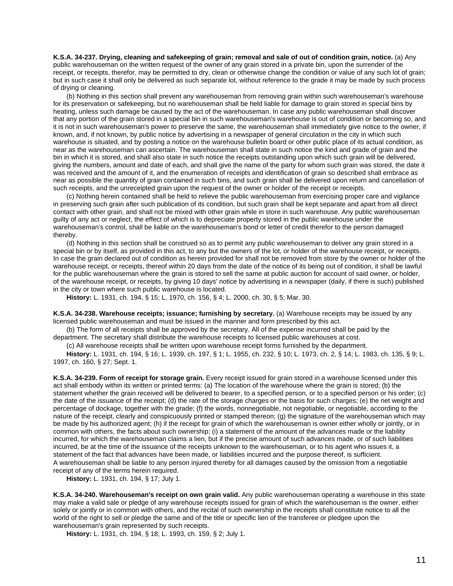**K.S.A. 34-237. Drying, cleaning and safekeeping of grain; removal and sale of out of condition grain, notice.** (a) Any public warehouseman on the written request of the owner of any grain stored in a private bin, upon the surrender of the receipt, or receipts, therefor, may be permitted to dry, clean or otherwise change the condition or value of any such lot of grain; but in such case it shall only be delivered as such separate lot, without reference to the grade it may be made by such process of drying or cleaning.

(b) Nothing in this section shall prevent any warehouseman from removing grain within such warehouseman's warehouse for its preservation or safekeeping, but no warehouseman shall be held liable for damage to grain stored in special bins by heating, unless such damage be caused by the act of the warehouseman. In case any public warehouseman shall discover that any portion of the grain stored in a special bin in such warehouseman's warehouse is out of condition or becoming so, and it is not in such warehouseman's power to preserve the same, the warehouseman shall immediately give notice to the owner, if known, and, if not known, by public notice by advertising in a newspaper of general circulation in the city in which such warehouse is situated, and by posting a notice on the warehouse bulletin board or other public place of its actual condition, as near as the warehouseman can ascertain. The warehouseman shall state in such notice the kind and grade of grain and the bin in which it is stored, and shall also state in such notice the receipts outstanding upon which such grain will be delivered, giving the numbers, amount and date of each, and shall give the name of the party for whom such grain was stored, the date it was received and the amount of it, and the enumeration of receipts and identification of grain so described shall embrace as near as possible the quantity of grain contained in such bins, and such grain shall be delivered upon return and cancellation of such receipts, and the unreceipted grain upon the request of the owner or holder of the receipt or receipts.

(c) Nothing herein contained shall be held to relieve the public warehouseman from exercising proper care and vigilance in preserving such grain after such publication of its condition, but such grain shall be kept separate and apart from all direct contact with other grain, and shall not be mixed with other grain while in store in such warehouse. Any public warehouseman guilty of any act or neglect, the effect of which is to depreciate property stored in the public warehouse under the warehouseman's control, shall be liable on the warehouseman's bond or letter of credit therefor to the person damaged thereby.

(d) Nothing in this section shall be construed so as to permit any public warehouseman to deliver any grain stored in a special bin or by itself, as provided in this act, to any but the owners of the lot, or holder of the warehouse receipt, or receipts. In case the grain declared out of condition as herein provided for shall not be removed from store by the owner or holder of the warehouse receipt, or receipts, thereof within 20 days from the date of the notice of its being out of condition, it shall be lawful for the public warehouseman where the grain is stored to sell the same at public auction for account of said owner, or holder, of the warehouse receipt, or receipts, by giving 10 days' notice by advertising in a newspaper (daily, if there is such) published in the city or town where such public warehouse is located.

**History:** L. 1931, ch. 194, § 15; L. 1970, ch. 156, § 4; L. 2000, ch. 30, § 5; Mar. 30.

**K.S.A. 34-238. Warehouse receipts; issuance; furnishing by secretary.** (a) Warehouse receipts may be issued by any licensed public warehouseman and must be issued in the manner and form prescribed by this act.

(b) The form of all receipts shall be approved by the secretary. All of the expense incurred shall be paid by the department. The secretary shall distribute the warehouse receipts to licensed public warehouses at cost.

(c) All warehouse receipts shall be written upon warehouse receipt forms furnished by the department.

**History:** L. 1931, ch. 194, § 16; L. 1939, ch. 197, § 1; L. 1955, ch. 232, § 10; L. 1973, ch. 2, § 14; L. 1983, ch. 135, § 9; L. 1997, ch. 160, § 27; Sept. 1.

**K.S.A. 34-239. Form of receipt for storage grain.** Every receipt issued for grain stored in a warehouse licensed under this act shall embody within its written or printed terms: (a) The location of the warehouse where the grain is stored; (b) the statement whether the grain received will be delivered to bearer, to a specified person, or to a specified person or his order; (c) the date of the issuance of the receipt; (d) the rate of the storage charges or the basis for such charges; (e) the net weight and percentage of dockage, together with the grade; (f) the words, nonnegotiable, not negotiable, or negotiable, according to the nature of the receipt, clearly and conspicuously printed or stamped thereon; (g) the signature of the warehouseman which may be made by his authorized agent; (h) if the receipt for grain of which the warehouseman is owner either wholly or jointly, or in common with others, the facts about such ownership; (i) a statement of the amount of the advances made or the liability incurred, for which the warehouseman claims a lien, but if the precise amount of such advances made, or of such liabilities incurred, be at the time of the issuance of the receipts unknown to the warehouseman, or to his agent who issues it, a statement of the fact that advances have been made, or liabilities incurred and the purpose thereof, is sufficient. A warehouseman shall be liable to any person injured thereby for all damages caused by the omission from a negotiable receipt of any of the terms herein required.

**History:** L. 1931, ch. 194, § 17; July 1.

**K.S.A. 34-240. Warehouseman's receipt on own grain valid.** Any public warehouseman operating a warehouse in this state may make a valid sale or pledge of any warehouse receipts issued for grain of which the warehouseman is the owner, either solely or jointly or in common with others, and the recital of such ownership in the receipts shall constitute notice to all the world of the right to sell or pledge the same and of the title or specific lien of the transferee or pledgee upon the warehouseman's grain represented by such receipts.

**History:** L. 1931, ch. 194, § 18; L. 1993, ch. 159, § 2; July 1.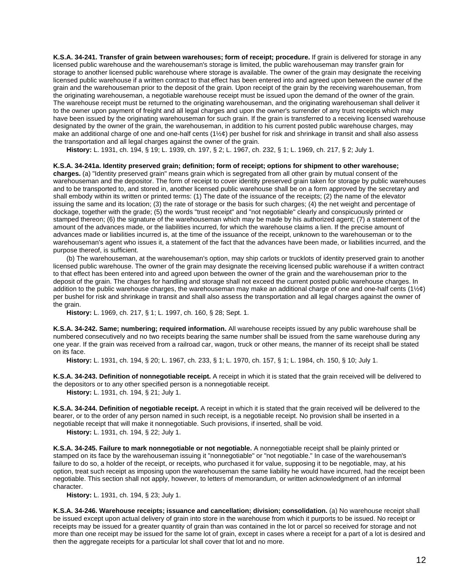**K.S.A. 34-241. Transfer of grain between warehouses; form of receipt; procedure.** If grain is delivered for storage in any licensed public warehouse and the warehouseman's storage is limited, the public warehouseman may transfer grain for storage to another licensed public warehouse where storage is available. The owner of the grain may designate the receiving licensed public warehouse if a written contract to that effect has been entered into and agreed upon between the owner of the grain and the warehouseman prior to the deposit of the grain. Upon receipt of the grain by the receiving warehouseman, from the originating warehouseman, a negotiable warehouse receipt must be issued upon the demand of the owner of the grain. The warehouse receipt must be returned to the originating warehouseman, and the originating warehouseman shall deliver it to the owner upon payment of freight and all legal charges and upon the owner's surrender of any trust receipts which may have been issued by the originating warehouseman for such grain. If the grain is transferred to a receiving licensed warehouse designated by the owner of the grain, the warehouseman, in addition to his current posted public warehouse charges, may make an additional charge of one and one-half cents ( $1\frac{1}{2}\phi$ ) per bushel for risk and shrinkage in transit and shall also assess the transportation and all legal charges against the owner of the grain.

**History:** L. 1931, ch. 194, § 19; L. 1939, ch. 197, § 2; L. 1967, ch. 232, § 1; L. 1969, ch. 217, § 2; July 1.

### **K.S.A. 34-241a. Identity preserved grain; definition; form of receipt; options for shipment to other warehouse;**

**charges.** (a) "Identity preserved grain" means grain which is segregated from all other grain by mutual consent of the warehouseman and the depositor. The form of receipt to cover identity preserved grain taken for storage by public warehouses and to be transported to, and stored in, another licensed public warehouse shall be on a form approved by the secretary and shall embody within its written or printed terms: (1) The date of the issuance of the receipts; (2) the name of the elevator issuing the same and its location; (3) the rate of storage or the basis for such charges; (4) the net weight and percentage of dockage, together with the grade; (5) the words "trust receipt" and "not negotiable" clearly and conspicuously printed or stamped thereon; (6) the signature of the warehouseman which may be made by his authorized agent; (7) a statement of the amount of the advances made, or the liabilities incurred, for which the warehouse claims a lien. If the precise amount of advances made or liabilities incurred is, at the time of the issuance of the receipt, unknown to the warehouseman or to the warehouseman's agent who issues it, a statement of the fact that the advances have been made, or liabilities incurred, and the purpose thereof, is sufficient.

(b) The warehouseman, at the warehouseman's option, may ship carlots or trucklots of identity preserved grain to another licensed public warehouse. The owner of the grain may designate the receiving licensed public warehouse if a written contract to that effect has been entered into and agreed upon between the owner of the grain and the warehouseman prior to the deposit of the grain. The charges for handling and storage shall not exceed the current posted public warehouse charges. In addition to the public warehouse charges, the warehouseman may make an additional charge of one and one-half cents (1 $\frac{1}{2}\mathcal{E}$ ) per bushel for risk and shrinkage in transit and shall also assess the transportation and all legal charges against the owner of the grain.

**History:** L. 1969, ch. 217, § 1; L. 1997, ch. 160, § 28; Sept. 1.

**K.S.A. 34-242. Same; numbering; required information.** All warehouse receipts issued by any public warehouse shall be numbered consecutively and no two receipts bearing the same number shall be issued from the same warehouse during any one year. If the grain was received from a railroad car, wagon, truck or other means, the manner of its receipt shall be stated on its face.

**History:** L. 1931, ch. 194, § 20; L. 1967, ch. 233, § 1; L. 1970, ch. 157, § 1; L. 1984, ch. 150, § 10; July 1.

**K.S.A. 34-243. Definition of nonnegotiable receipt.** A receipt in which it is stated that the grain received will be delivered to the depositors or to any other specified person is a nonnegotiable receipt.

**History:** L. 1931, ch. 194, § 21; July 1.

**K.S.A. 34-244. Definition of negotiable receipt.** A receipt in which it is stated that the grain received will be delivered to the bearer, or to the order of any person named in such receipt, is a negotiable receipt. No provision shall be inserted in a negotiable receipt that will make it nonnegotiable. Such provisions, if inserted, shall be void.

**History:** L. 1931, ch. 194, § 22; July 1.

**K.S.A. 34-245. Failure to mark nonnegotiable or not negotiable.** A nonnegotiable receipt shall be plainly printed or stamped on its face by the warehouseman issuing it "nonnegotiable" or "not negotiable." In case of the warehouseman's failure to do so, a holder of the receipt, or receipts, who purchased it for value, supposing it to be negotiable, may, at his option, treat such receipt as imposing upon the warehouseman the same liability he would have incurred, had the receipt been negotiable. This section shall not apply, however, to letters of memorandum, or written acknowledgment of an informal character.

**History:** L. 1931, ch. 194, § 23; July 1.

**K.S.A. 34-246. Warehouse receipts; issuance and cancellation; division; consolidation.** (a) No warehouse receipt shall be issued except upon actual delivery of grain into store in the warehouse from which it purports to be issued. No receipt or receipts may be issued for a greater quantity of grain than was contained in the lot or parcel so received for storage and not more than one receipt may be issued for the same lot of grain, except in cases where a receipt for a part of a lot is desired and then the aggregate receipts for a particular lot shall cover that lot and no more.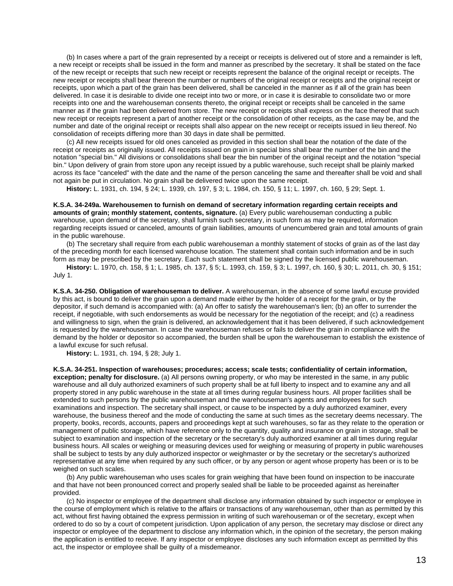(b) In cases where a part of the grain represented by a receipt or receipts is delivered out of store and a remainder is left, a new receipt or receipts shall be issued in the form and manner as prescribed by the secretary. It shall be stated on the face of the new receipt or receipts that such new receipt or receipts represent the balance of the original receipt or receipts. The new receipt or receipts shall bear thereon the number or numbers of the original receipt or receipts and the original receipt or receipts, upon which a part of the grain has been delivered, shall be canceled in the manner as if all of the grain has been delivered. In case it is desirable to divide one receipt into two or more, or in case it is desirable to consolidate two or more receipts into one and the warehouseman consents thereto, the original receipt or receipts shall be canceled in the same manner as if the grain had been delivered from store. The new receipt or receipts shall express on the face thereof that such new receipt or receipts represent a part of another receipt or the consolidation of other receipts, as the case may be, and the number and date of the original receipt or receipts shall also appear on the new receipt or receipts issued in lieu thereof. No consolidation of receipts differing more than 30 days in date shall be permitted.

(c) All new receipts issued for old ones canceled as provided in this section shall bear the notation of the date of the receipt or receipts as originally issued. All receipts issued on grain in special bins shall bear the number of the bin and the notation "special bin." All divisions or consolidations shall bear the bin number of the original receipt and the notation "special bin." Upon delivery of grain from store upon any receipt issued by a public warehouse, such receipt shall be plainly marked across its face "canceled" with the date and the name of the person canceling the same and thereafter shall be void and shall not again be put in circulation. No grain shall be delivered twice upon the same receipt.

**History:** L. 1931, ch. 194, § 24; L. 1939, ch. 197, § 3; L. 1984, ch. 150, § 11; L. 1997, ch. 160, § 29; Sept. 1.

**K.S.A. 34-249a. Warehousemen to furnish on demand of secretary information regarding certain receipts and amounts of grain; monthly statement, contents, signature.** (a) Every public warehouseman conducting a public warehouse, upon demand of the secretary, shall furnish such secretary, in such form as may be required, information regarding receipts issued or canceled, amounts of grain liabilities, amounts of unencumbered grain and total amounts of grain in the public warehouse.

(b) The secretary shall require from each public warehouseman a monthly statement of stocks of grain as of the last day of the preceding month for each licensed warehouse location. The statement shall contain such information and be in such form as may be prescribed by the secretary. Each such statement shall be signed by the licensed public warehouseman.

**History:** L. 1970, ch. 158, § 1; L. 1985, ch. 137, § 5; L. 1993, ch. 159, § 3; L. 1997, ch. 160, § 30; L. 2011, ch. 30, § 151; July 1.

**K.S.A. 34-250. Obligation of warehouseman to deliver.** A warehouseman, in the absence of some lawful excuse provided by this act, is bound to deliver the grain upon a demand made either by the holder of a receipt for the grain, or by the depositor, if such demand is accompanied with: (a) An offer to satisfy the warehouseman's lien; (b) an offer to surrender the receipt, if negotiable, with such endorsements as would be necessary for the negotiation of the receipt; and (c) a readiness and willingness to sign, when the grain is delivered, an acknowledgement that it has been delivered, if such acknowledgement is requested by the warehouseman. In case the warehouseman refuses or fails to deliver the grain in compliance with the demand by the holder or depositor so accompanied, the burden shall be upon the warehouseman to establish the existence of a lawful excuse for such refusal.

**History:** L. 1931, ch. 194, § 28; July 1.

**K.S.A. 34-251. Inspection of warehouses; procedures; access; scale tests; confidentiality of certain information, exception; penalty for disclosure.** (a) All persons owning property, or who may be interested in the same, in any public warehouse and all duly authorized examiners of such property shall be at full liberty to inspect and to examine any and all property stored in any public warehouse in the state at all times during regular business hours. All proper facilities shall be extended to such persons by the public warehouseman and the warehouseman's agents and employees for such examinations and inspection. The secretary shall inspect, or cause to be inspected by a duly authorized examiner, every warehouse, the business thereof and the mode of conducting the same at such times as the secretary deems necessary. The property, books, records, accounts, papers and proceedings kept at such warehouses, so far as they relate to the operation or management of public storage, which have reference only to the quantity, quality and insurance on grain in storage, shall be subject to examination and inspection of the secretary or the secretary's duly authorized examiner at all times during regular business hours. All scales or weighing or measuring devices used for weighing or measuring of property in public warehouses shall be subject to tests by any duly authorized inspector or weighmaster or by the secretary or the secretary's authorized representative at any time when required by any such officer, or by any person or agent whose property has been or is to be weighed on such scales.

(b) Any public warehouseman who uses scales for grain weighing that have been found on inspection to be inaccurate and that have not been pronounced correct and properly sealed shall be liable to be proceeded against as hereinafter provided.

(c) No inspector or employee of the department shall disclose any information obtained by such inspector or employee in the course of employment which is relative to the affairs or transactions of any warehouseman, other than as permitted by this act, without first having obtained the express permission in writing of such warehouseman or of the secretary, except when ordered to do so by a court of competent jurisdiction. Upon application of any person, the secretary may disclose or direct any inspector or employee of the department to disclose any information which, in the opinion of the secretary, the person making the application is entitled to receive. If any inspector or employee discloses any such information except as permitted by this act, the inspector or employee shall be guilty of a misdemeanor.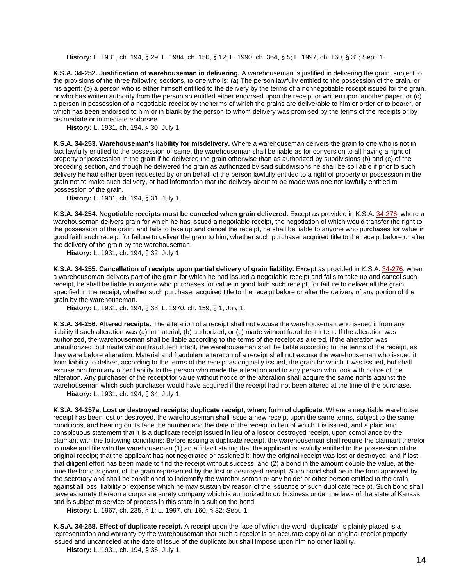**History:** L. 1931, ch. 194, § 29; L. 1984, ch. 150, § 12; L. 1990, ch. 364, § 5; L. 1997, ch. 160, § 31; Sept. 1.

**K.S.A. 34-252. Justification of warehouseman in delivering.** A warehouseman is justified in delivering the grain, subject to the provisions of the three following sections, to one who is: (a) The person lawfully entitled to the possession of the grain, or his agent; (b) a person who is either himself entitled to the delivery by the terms of a nonnegotiable receipt issued for the grain, or who has written authority from the person so entitled either endorsed upon the receipt or written upon another paper; or (c) a person in possession of a negotiable receipt by the terms of which the grains are deliverable to him or order or to bearer, or which has been endorsed to him or in blank by the person to whom delivery was promised by the terms of the receipts or by his mediate or immediate endorsee.

**History:** L. 1931, ch. 194, § 30; July 1.

**K.S.A. 34-253. Warehouseman's liability for misdelivery.** Where a warehouseman delivers the grain to one who is not in fact lawfully entitled to the possession of same, the warehouseman shall be liable as for conversion to all having a right of property or possession in the grain if he delivered the grain otherwise than as authorized by subdivisions (b) and (c) of the preceding section, and though he delivered the grain as authorized by said subdivisions he shall be so liable if prior to such delivery he had either been requested by or on behalf of the person lawfully entitled to a right of property or possession in the grain not to make such delivery, or had information that the delivery about to be made was one not lawfully entitled to possession of the grain.

**History:** L. 1931, ch. 194, § 31; July 1.

**K.S.A. 34-254. Negotiable receipts must be canceled when grain delivered.** Except as provided in K.S.A. [34-276,](http://www.ksrevisor.org/statutes/chapters/ch34/034_002_0076.html) where a warehouseman delivers grain for which he has issued a negotiable receipt, the negotiation of which would transfer the right to the possession of the grain, and fails to take up and cancel the receipt, he shall be liable to anyone who purchases for value in good faith such receipt for failure to deliver the grain to him, whether such purchaser acquired title to the receipt before or after the delivery of the grain by the warehouseman.

**History:** L. 1931, ch. 194, § 32; July 1.

**K.S.A. 34-255. Cancellation of receipts upon partial delivery of grain liability.** Except as provided in K.S.A. [34-276,](http://www.ksrevisor.org/statutes/chapters/ch34/034_002_0076.html) when a warehouseman delivers part of the grain for which he had issued a negotiable receipt and fails to take up and cancel such receipt, he shall be liable to anyone who purchases for value in good faith such receipt, for failure to deliver all the grain specified in the receipt, whether such purchaser acquired title to the receipt before or after the delivery of any portion of the grain by the warehouseman.

**History:** L. 1931, ch. 194, § 33; L. 1970, ch. 159, § 1; July 1.

**K.S.A. 34-256. Altered receipts.** The alteration of a receipt shall not excuse the warehouseman who issued it from any liability if such alteration was (a) immaterial, (b) authorized, or (c) made without fraudulent intent. If the alteration was authorized, the warehouseman shall be liable according to the terms of the receipt as altered. If the alteration was unauthorized, but made without fraudulent intent, the warehouseman shall be liable according to the terms of the receipt, as they were before alteration. Material and fraudulent alteration of a receipt shall not excuse the warehouseman who issued it from liability to deliver, according to the terms of the receipt as originally issued, the grain for which it was issued, but shall excuse him from any other liability to the person who made the alteration and to any person who took with notice of the alteration. Any purchaser of the receipt for value without notice of the alteration shall acquire the same rights against the warehouseman which such purchaser would have acquired if the receipt had not been altered at the time of the purchase.

**History:** L. 1931, ch. 194, § 34; July 1.

**K.S.A. 34-257a. Lost or destroyed receipts; duplicate receipt, when; form of duplicate.** Where a negotiable warehouse receipt has been lost or destroyed, the warehouseman shall issue a new receipt upon the same terms, subject to the same conditions, and bearing on its face the number and the date of the receipt in lieu of which it is issued, and a plain and conspicuous statement that it is a duplicate receipt issued in lieu of a lost or destroyed receipt, upon compliance by the claimant with the following conditions: Before issuing a duplicate receipt, the warehouseman shall require the claimant therefor to make and file with the warehouseman (1) an affidavit stating that the applicant is lawfully entitled to the possession of the original receipt; that the applicant has not negotiated or assigned it; how the original receipt was lost or destroyed; and if lost, that diligent effort has been made to find the receipt without success, and (2) a bond in the amount double the value, at the time the bond is given, of the grain represented by the lost or destroyed receipt. Such bond shall be in the form approved by the secretary and shall be conditioned to indemnify the warehouseman or any holder or other person entitled to the grain against all loss, liability or expense which he may sustain by reason of the issuance of such duplicate receipt. Such bond shall have as surety thereon a corporate surety company which is authorized to do business under the laws of the state of Kansas and is subject to service of process in this state in a suit on the bond.

**History:** L. 1967, ch. 235, § 1; L. 1997, ch. 160, § 32; Sept. 1.

**K.S.A. 34-258. Effect of duplicate receipt.** A receipt upon the face of which the word "duplicate" is plainly placed is a representation and warranty by the warehouseman that such a receipt is an accurate copy of an original receipt properly issued and uncanceled at the date of issue of the duplicate but shall impose upon him no other liability.

**History:** L. 1931, ch. 194, § 36; July 1.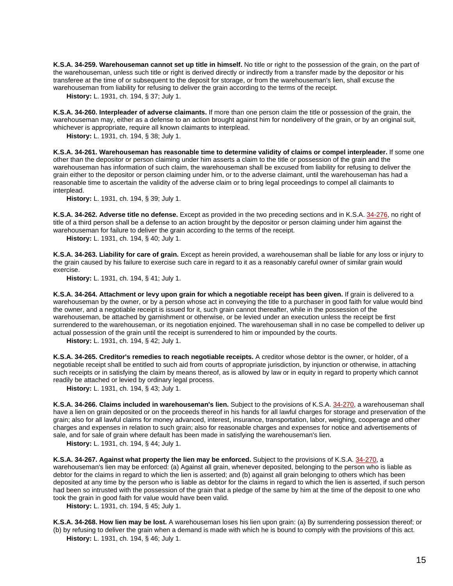**K.S.A. 34-259. Warehouseman cannot set up title in himself.** No title or right to the possession of the grain, on the part of the warehouseman, unless such title or right is derived directly or indirectly from a transfer made by the depositor or his transferee at the time of or subsequent to the deposit for storage, or from the warehouseman's lien, shall excuse the warehouseman from liability for refusing to deliver the grain according to the terms of the receipt.

**History:** L. 1931, ch. 194, § 37; July 1.

**K.S.A. 34-260. Interpleader of adverse claimants.** If more than one person claim the title or possession of the grain, the warehouseman may, either as a defense to an action brought against him for nondelivery of the grain, or by an original suit, whichever is appropriate, require all known claimants to interplead.

**History:** L. 1931, ch. 194, § 38; July 1.

**K.S.A. 34-261. Warehouseman has reasonable time to determine validity of claims or compel interpleader.** If some one other than the depositor or person claiming under him asserts a claim to the title or possession of the grain and the warehouseman has information of such claim, the warehouseman shall be excused from liability for refusing to deliver the grain either to the depositor or person claiming under him, or to the adverse claimant, until the warehouseman has had a reasonable time to ascertain the validity of the adverse claim or to bring legal proceedings to compel all claimants to interplead.

**History:** L. 1931, ch. 194, § 39; July 1.

**K.S.A. 34-262. Adverse title no defense.** Except as provided in the two preceding sections and in K.S.A. [34-276,](http://www.ksrevisor.org/statutes/chapters/ch34/034_002_0076.html) no right of title of a third person shall be a defense to an action brought by the depositor or person claiming under him against the warehouseman for failure to deliver the grain according to the terms of the receipt.

**History:** L. 1931, ch. 194, § 40; July 1.

**K.S.A. 34-263. Liability for care of grain.** Except as herein provided, a warehouseman shall be liable for any loss or injury to the grain caused by his failure to exercise such care in regard to it as a reasonably careful owner of similar grain would exercise.

**History:** L. 1931, ch. 194, § 41; July 1.

**K.S.A. 34-264. Attachment or levy upon grain for which a negotiable receipt has been given.** If grain is delivered to a warehouseman by the owner, or by a person whose act in conveying the title to a purchaser in good faith for value would bind the owner, and a negotiable receipt is issued for it, such grain cannot thereafter, while in the possession of the warehouseman, be attached by garnishment or otherwise, or be levied under an execution unless the receipt be first surrendered to the warehouseman, or its negotiation enjoined. The warehouseman shall in no case be compelled to deliver up actual possession of the grain until the receipt is surrendered to him or impounded by the courts.

**History:** L. 1931, ch. 194, § 42; July 1.

**K.S.A. 34-265. Creditor's remedies to reach negotiable receipts.** A creditor whose debtor is the owner, or holder, of a negotiable receipt shall be entitled to such aid from courts of appropriate jurisdiction, by injunction or otherwise, in attaching such receipts or in satisfying the claim by means thereof, as is allowed by law or in equity in regard to property which cannot readily be attached or levied by ordinary legal process.

**History:** L. 1931, ch. 194, § 43; July 1.

**K.S.A. 34-266. Claims included in warehouseman's lien.** Subject to the provisions of K.S.A. [34-270,](http://www.ksrevisor.org/statutes/chapters/ch34/034_002_0070.html) a warehouseman shall have a lien on grain deposited or on the proceeds thereof in his hands for all lawful charges for storage and preservation of the grain; also for all lawful claims for money advanced, interest, insurance, transportation, labor, weighing, cooperage and other charges and expenses in relation to such grain; also for reasonable charges and expenses for notice and advertisements of sale, and for sale of grain where default has been made in satisfying the warehouseman's lien.

**History:** L. 1931, ch. 194, § 44; July 1.

**K.S.A. 34-267. Against what property the lien may be enforced.** Subject to the provisions of K.S.A. [34-270,](http://www.ksrevisor.org/statutes/chapters/ch34/034_002_0070.html) a warehouseman's lien may be enforced: (a) Against all grain, whenever deposited, belonging to the person who is liable as debtor for the claims in regard to which the lien is asserted; and (b) against all grain belonging to others which has been deposited at any time by the person who is liable as debtor for the claims in regard to which the lien is asserted, if such person had been so intrusted with the possession of the grain that a pledge of the same by him at the time of the deposit to one who took the grain in good faith for value would have been valid.

**History:** L. 1931, ch. 194, § 45; July 1.

**K.S.A. 34-268. How lien may be lost.** A warehouseman loses his lien upon grain: (a) By surrendering possession thereof; or (b) by refusing to deliver the grain when a demand is made with which he is bound to comply with the provisions of this act. **History:** L. 1931, ch. 194, § 46; July 1.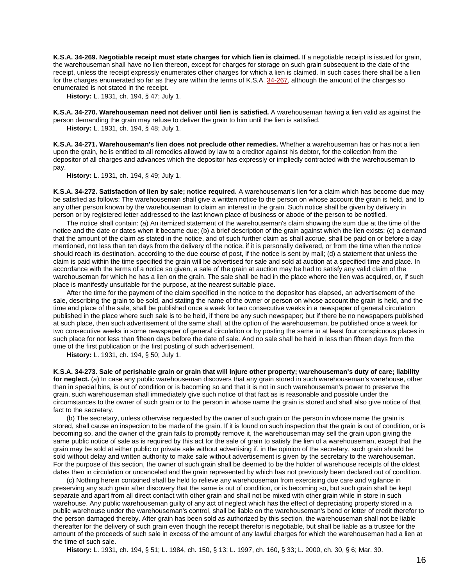**K.S.A. 34-269. Negotiable receipt must state charges for which lien is claimed.** If a negotiable receipt is issued for grain, the warehouseman shall have no lien thereon, except for charges for storage on such grain subsequent to the date of the receipt, unless the receipt expressly enumerates other charges for which a lien is claimed. In such cases there shall be a lien for the charges enumerated so far as they are within the terms of K.S.A. [34-267,](http://www.ksrevisor.org/statutes/chapters/ch34/034_002_0067.html) although the amount of the charges so enumerated is not stated in the receipt.

**History:** L. 1931, ch. 194, § 47; July 1.

**K.S.A. 34-270. Warehouseman need not deliver until lien is satisfied.** A warehouseman having a lien valid as against the person demanding the grain may refuse to deliver the grain to him until the lien is satisfied.

**History:** L. 1931, ch. 194, § 48; July 1.

**K.S.A. 34-271. Warehouseman's lien does not preclude other remedies.** Whether a warehouseman has or has not a lien upon the grain, he is entitled to all remedies allowed by law to a creditor against his debtor, for the collection from the depositor of all charges and advances which the depositor has expressly or impliedly contracted with the warehouseman to pay.

**History:** L. 1931, ch. 194, § 49; July 1.

**K.S.A. 34-272. Satisfaction of lien by sale; notice required.** A warehouseman's lien for a claim which has become due may be satisfied as follows: The warehouseman shall give a written notice to the person on whose account the grain is held, and to any other person known by the warehouseman to claim an interest in the grain. Such notice shall be given by delivery in person or by registered letter addressed to the last known place of business or abode of the person to be notified.

The notice shall contain: (a) An itemized statement of the warehouseman's claim showing the sum due at the time of the notice and the date or dates when it became due; (b) a brief description of the grain against which the lien exists; (c) a demand that the amount of the claim as stated in the notice, and of such further claim as shall accrue, shall be paid on or before a day mentioned, not less than ten days from the delivery of the notice, if it is personally delivered, or from the time when the notice should reach its destination, according to the due course of post, if the notice is sent by mail; (d) a statement that unless the claim is paid within the time specified the grain will be advertised for sale and sold at auction at a specified time and place. In accordance with the terms of a notice so given, a sale of the grain at auction may be had to satisfy any valid claim of the warehouseman for which he has a lien on the grain. The sale shall be had in the place where the lien was acquired, or, if such place is manifestly unsuitable for the purpose, at the nearest suitable place.

After the time for the payment of the claim specified in the notice to the depositor has elapsed, an advertisement of the sale, describing the grain to be sold, and stating the name of the owner or person on whose account the grain is held, and the time and place of the sale, shall be published once a week for two consecutive weeks in a newspaper of general circulation published in the place where such sale is to be held, if there be any such newspaper; but if there be no newspapers published at such place, then such advertisement of the same shall, at the option of the warehouseman, be published once a week for two consecutive weeks in some newspaper of general circulation or by posting the same in at least four conspicuous places in such place for not less than fifteen days before the date of sale. And no sale shall be held in less than fifteen days from the time of the first publication or the first posting of such advertisement.

**History:** L. 1931, ch. 194, § 50; July 1.

**K.S.A. 34-273. Sale of perishable grain or grain that will injure other property; warehouseman's duty of care; liability for neglect.** (a) In case any public warehouseman discovers that any grain stored in such warehouseman's warehouse, other than in special bins, is out of condition or is becoming so and that it is not in such warehouseman's power to preserve the grain, such warehouseman shall immediately give such notice of that fact as is reasonable and possible under the circumstances to the owner of such grain or to the person in whose name the grain is stored and shall also give notice of that fact to the secretary.

(b) The secretary, unless otherwise requested by the owner of such grain or the person in whose name the grain is stored, shall cause an inspection to be made of the grain. If it is found on such inspection that the grain is out of condition, or is becoming so, and the owner of the grain fails to promptly remove it, the warehouseman may sell the grain upon giving the same public notice of sale as is required by this act for the sale of grain to satisfy the lien of a warehouseman, except that the grain may be sold at either public or private sale without advertising if, in the opinion of the secretary, such grain should be sold without delay and written authority to make sale without advertisement is given by the secretary to the warehouseman. For the purpose of this section, the owner of such grain shall be deemed to be the holder of warehouse receipts of the oldest dates then in circulation or uncanceled and the grain represented by which has not previously been declared out of condition.

(c) Nothing herein contained shall be held to relieve any warehouseman from exercising due care and vigilance in preserving any such grain after discovery that the same is out of condition, or is becoming so, but such grain shall be kept separate and apart from all direct contact with other grain and shall not be mixed with other grain while in store in such warehouse. Any public warehouseman guilty of any act of neglect which has the effect of depreciating property stored in a public warehouse under the warehouseman's control, shall be liable on the warehouseman's bond or letter of credit therefor to the person damaged thereby. After grain has been sold as authorized by this section, the warehouseman shall not be liable thereafter for the delivery of such grain even though the receipt therefor is negotiable, but shall be liable as a trustee for the amount of the proceeds of such sale in excess of the amount of any lawful charges for which the warehouseman had a lien at the time of such sale.

**History:** L. 1931, ch. 194, § 51; L. 1984, ch. 150, § 13; L. 1997, ch. 160, § 33; L. 2000, ch. 30, § 6; Mar. 30.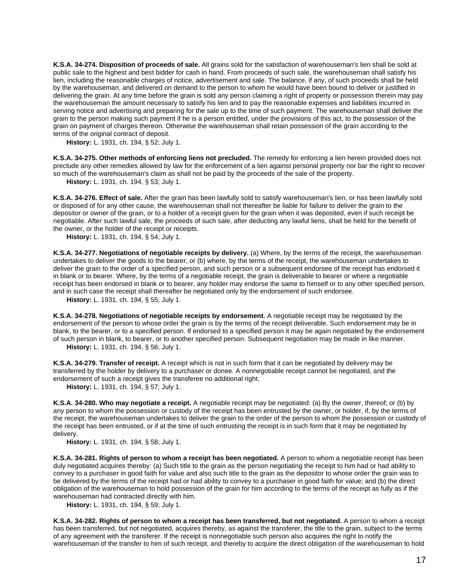**K.S.A. 34-274. Disposition of proceeds of sale.** All grains sold for the satisfaction of warehouseman's lien shall be sold at public sale to the highest and best bidder for cash in hand. From proceeds of such sale, the warehouseman shall satisfy his lien, including the reasonable charges of notice, advertisement and sale. The balance, if any, of such proceeds shall be held by the warehouseman, and delivered on demand to the person to whom he would have been bound to deliver or justified in delivering the grain. At any time before the grain is sold any person claiming a right of property or possession therein may pay the warehouseman the amount necessary to satisfy his lien and to pay the reasonable expenses and liabilities incurred in serving notice and advertising and preparing for the sale up to the time of such payment. The warehouseman shall deliver the grain to the person making such payment if he is a person entitled, under the provisions of this act, to the possession of the grain on payment of charges thereon. Otherwise the warehouseman shall retain possession of the grain according to the terms of the original contract of deposit.

**History:** L. 1931, ch. 194, § 52; July 1.

**K.S.A. 34-275. Other methods of enforcing liens not precluded.** The remedy for enforcing a lien herein provided does not preclude any other remedies allowed by law for the enforcement of a lien against personal property nor bar the right to recover so much of the warehouseman's claim as shall not be paid by the proceeds of the sale of the property.

**History:** L. 1931, ch. 194, § 53; July 1.

**K.S.A. 34-276. Effect of sale.** After the grain has been lawfully sold to satisfy warehouseman's lien, or has been lawfully sold or disposed of for any other cause, the warehouseman shall not thereafter be liable for failure to deliver the grain to the depositor or owner of the grain, or to a holder of a receipt given for the grain when it was deposited, even if such receipt be negotiable. After such lawful sale, the proceeds of such sale, after deducting any lawful liens, shall be held for the benefit of the owner, or the holder of the receipt or receipts.

**History:** L. 1931, ch. 194, § 54; July 1.

**K.S.A. 34-277. Negotiations of negotiable receipts by delivery.** (a) Where, by the terms of the receipt, the warehouseman undertakes to deliver the goods to the bearer, or (b) where, by the terms of the receipt, the warehouseman undertakes to deliver the grain to the order of a specified person, and such person or a subsequent endorsee of the receipt has endorsed it in blank or to bearer. Where, by the terms of a negotiable receipt, the grain is deliverable to bearer or where a negotiable receipt has been endorsed in blank or to bearer, any holder may endorse the same to himself or to any other specified person, and in such case the receipt shall thereafter be negotiated only by the endorsement of such endorsee.

**History:** L. 1931, ch. 194, § 55; July 1.

**K.S.A. 34-278. Negotiations of negotiable receipts by endorsement.** A negotiable receipt may be negotiated by the endorsement of the person to whose order the grain is by the terms of the receipt deliverable. Such endorsement may be in blank, to the bearer, or to a specified person. If endorsed to a specified person it may be again negotiated by the endorsement of such person in blank, to bearer, or to another specified person. Subsequent negotiation may be made in like manner. **History:** L. 1931, ch. 194, § 56; July 1.

**K.S.A. 34-279. Transfer of receipt.** A receipt which is not in such form that it can be negotiated by delivery may be transferred by the holder by delivery to a purchaser or donee. A nonnegotiable receipt cannot be negotiated, and the endorsement of such a receipt gives the transferee no additional right.

**History:** L. 1931, ch. 194, § 57; July 1.

**K.S.A. 34-280. Who may negotiate a receipt.** A negotiable receipt may be negotiated: (a) By the owner, thereof; or (b) by any person to whom the possession or custody of the receipt has been entrusted by the owner, or holder, if, by the terms of the receipt, the warehouseman undertakes to deliver the grain to the order of the person to whom the possession or custody of the receipt has been entrusted, or if at the time of such entrusting the receipt is in such form that it may be negotiated by delivery.

**History:** L. 1931, ch. 194, § 58; July 1.

**K.S.A. 34-281. Rights of person to whom a receipt has been negotiated.** A person to whom a negotiable receipt has been duly negotiated acquires thereby: (a) Such title to the grain as the person negotiating the receipt to him had or had ability to convey to a purchaser in good faith for value and also such title to the grain as the depositor to whose order the grain was to be delivered by the terms of the receipt had or had ability to convey to a purchaser in good faith for value; and (b) the direct obligation of the warehouseman to hold possession of the grain for him according to the terms of the receipt as fully as if the warehouseman had contracted directly with him.

**History:** L. 1931, ch. 194, § 59; July 1.

**K.S.A. 34-282. Rights of person to whom a receipt has been transferred, but not negotiated.** A person to whom a receipt has been transferred, but not negotiated, acquires thereby, as against the transferer, the title to the grain, subject to the terms of any agreement with the transferer. If the receipt is nonnegotiable such person also acquires the right to notify the warehouseman of the transfer to him of such receipt, and thereby to acquire the direct obligation of the warehouseman to hold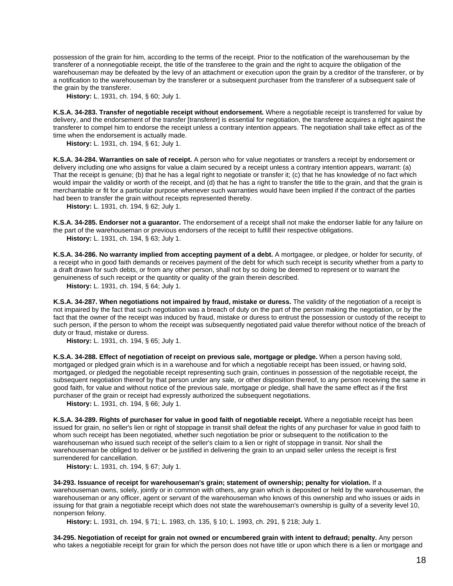possession of the grain for him, according to the terms of the receipt. Prior to the notification of the warehouseman by the transferer of a nonnegotiable receipt, the title of the transferee to the grain and the right to acquire the obligation of the warehouseman may be defeated by the levy of an attachment or execution upon the grain by a creditor of the transferer, or by a notification to the warehouseman by the transferer or a subsequent purchaser from the transferer of a subsequent sale of the grain by the transferer.

**History:** L. 1931, ch. 194, § 60; July 1.

**K.S.A. 34-283. Transfer of negotiable receipt without endorsement.** Where a negotiable receipt is transferred for value by delivery, and the endorsement of the transfer [transferer] is essential for negotiation, the transferee acquires a right against the transferer to compel him to endorse the receipt unless a contrary intention appears. The negotiation shall take effect as of the time when the endorsement is actually made.

**History:** L. 1931, ch. 194, § 61; July 1.

**K.S.A. 34-284. Warranties on sale of receipt.** A person who for value negotiates or transfers a receipt by endorsement or delivery including one who assigns for value a claim secured by a receipt unless a contrary intention appears, warrant: (a) That the receipt is genuine; (b) that he has a legal right to negotiate or transfer it; (c) that he has knowledge of no fact which would impair the validity or worth of the receipt, and (d) that he has a right to transfer the title to the grain, and that the grain is merchantable or fit for a particular purpose whenever such warranties would have been implied if the contract of the parties had been to transfer the grain without receipts represented thereby.

**History:** L. 1931, ch. 194, § 62; July 1.

**K.S.A. 34-285. Endorser not a guarantor.** The endorsement of a receipt shall not make the endorser liable for any failure on the part of the warehouseman or previous endorsers of the receipt to fulfill their respective obligations. **History:** L. 1931, ch. 194, § 63; July 1.

**K.S.A. 34-286. No warranty implied from accepting payment of a debt.** A mortgagee, or pledgee, or holder for security, of a receipt who in good faith demands or receives payment of the debt for which such receipt is security whether from a party to a draft drawn for such debts, or from any other person, shall not by so doing be deemed to represent or to warrant the genuineness of such receipt or the quantity or quality of the grain therein described.

**History:** L. 1931, ch. 194, § 64; July 1.

**K.S.A. 34-287. When negotiations not impaired by fraud, mistake or duress.** The validity of the negotiation of a receipt is not impaired by the fact that such negotiation was a breach of duty on the part of the person making the negotiation, or by the fact that the owner of the receipt was induced by fraud, mistake or duress to entrust the possession or custody of the receipt to such person, if the person to whom the receipt was subsequently negotiated paid value therefor without notice of the breach of duty or fraud, mistake or duress.

**History:** L. 1931, ch. 194, § 65; July 1.

**K.S.A. 34-288. Effect of negotiation of receipt on previous sale, mortgage or pledge.** When a person having sold, mortgaged or pledged grain which is in a warehouse and for which a negotiable receipt has been issued, or having sold, mortgaged, or pledged the negotiable receipt representing such grain, continues in possession of the negotiable receipt, the subsequent negotiation thereof by that person under any sale, or other disposition thereof, to any person receiving the same in good faith, for value and without notice of the previous sale, mortgage or pledge, shall have the same effect as if the first purchaser of the grain or receipt had expressly authorized the subsequent negotiations.

**History:** L. 1931, ch. 194, § 66; July 1.

**K.S.A. 34-289. Rights of purchaser for value in good faith of negotiable receipt.** Where a negotiable receipt has been issued for grain, no seller's lien or right of stoppage in transit shall defeat the rights of any purchaser for value in good faith to whom such receipt has been negotiated, whether such negotiation be prior or subsequent to the notification to the warehouseman who issued such receipt of the seller's claim to a lien or right of stoppage in transit. Nor shall the warehouseman be obliged to deliver or be justified in delivering the grain to an unpaid seller unless the receipt is first surrendered for cancellation.

**History:** L. 1931, ch. 194, § 67; July 1.

**34-293. Issuance of receipt for warehouseman's grain; statement of ownership; penalty for violation.** If a warehouseman owns, solely, jointly or in common with others, any grain which is deposited or held by the warehouseman, the warehouseman or any officer, agent or servant of the warehouseman who knows of this ownership and who issues or aids in issuing for that grain a negotiable receipt which does not state the warehouseman's ownership is guilty of a severity level 10, nonperson felony.

**History:** L. 1931, ch. 194, § 71; L. 1983, ch. 135, § 10; L. 1993, ch. 291, § 218; July 1.

**34-295. Negotiation of receipt for grain not owned or encumbered grain with intent to defraud; penalty.** Any person who takes a negotiable receipt for grain for which the person does not have title or upon which there is a lien or mortgage and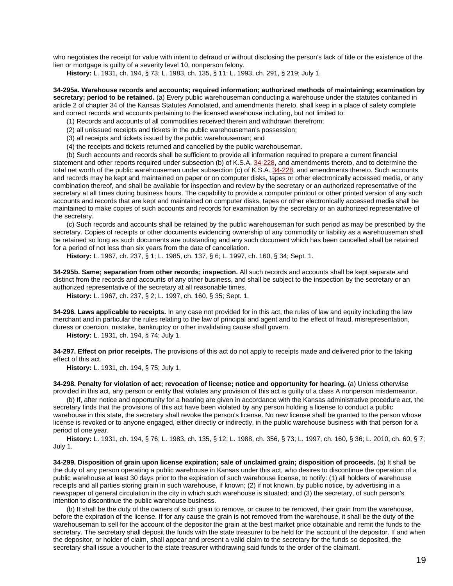who negotiates the receipt for value with intent to defraud or without disclosing the person's lack of title or the existence of the lien or mortgage is guilty of a severity level 10, nonperson felony.

**History:** L. 1931, ch. 194, § 73; L. 1983, ch. 135, § 11; L. 1993, ch. 291, § 219; July 1.

**34-295a. Warehouse records and accounts; required information; authorized methods of maintaining; examination by secretary; period to be retained.** (a) Every public warehouseman conducting a warehouse under the statutes contained in article 2 of chapter 34 of the Kansas Statutes Annotated, and amendments thereto, shall keep in a place of safety complete and correct records and accounts pertaining to the licensed warehouse including, but not limited to:

(1) Records and accounts of all commodities received therein and withdrawn therefrom;

(2) all unissued receipts and tickets in the public warehouseman's possession;

(3) all receipts and tickets issued by the public warehouseman; and

(4) the receipts and tickets returned and cancelled by the public warehouseman.

(b) Such accounts and records shall be sufficient to provide all information required to prepare a current financial statement and other reports required under subsection (b) of K.S.A. [34-228,](http://www.ksrevisor.org/statutes/chapters/ch34/034_002_0028.html) and amendments thereto, and to determine the total net worth of the public warehouseman under subsection (c) of K.S.A. [34-228,](http://www.ksrevisor.org/statutes/chapters/ch34/034_002_0028.html) and amendments thereto. Such accounts and records may be kept and maintained on paper or on computer disks, tapes or other electronically accessed media, or any combination thereof, and shall be available for inspection and review by the secretary or an authorized representative of the secretary at all times during business hours. The capability to provide a computer printout or other printed version of any such accounts and records that are kept and maintained on computer disks, tapes or other electronically accessed media shall be maintained to make copies of such accounts and records for examination by the secretary or an authorized representative of the secretary.

(c) Such records and accounts shall be retained by the public warehouseman for such period as may be prescribed by the secretary. Copies of receipts or other documents evidencing ownership of any commodity or liability as a warehouseman shall be retained so long as such documents are outstanding and any such document which has been cancelled shall be retained for a period of not less than six years from the date of cancellation.

**History:** L. 1967, ch. 237, § 1; L. 1985, ch. 137, § 6; L. 1997, ch. 160, § 34; Sept. 1.

**34-295b. Same; separation from other records; inspection.** All such records and accounts shall be kept separate and distinct from the records and accounts of any other business, and shall be subject to the inspection by the secretary or an authorized representative of the secretary at all reasonable times.

**History:** L. 1967, ch. 237, § 2; L. 1997, ch. 160, § 35; Sept. 1.

**34-296. Laws applicable to receipts.** In any case not provided for in this act, the rules of law and equity including the law merchant and in particular the rules relating to the law of principal and agent and to the effect of fraud, misrepresentation, duress or coercion, mistake, bankruptcy or other invalidating cause shall govern.

**History:** L. 1931, ch. 194, § 74; July 1.

**34-297. Effect on prior receipts.** The provisions of this act do not apply to receipts made and delivered prior to the taking effect of this act.

**History:** L. 1931, ch. 194, § 75; July 1.

**34-298. Penalty for violation of act; revocation of license; notice and opportunity for hearing.** (a) Unless otherwise provided in this act, any person or entity that violates any provision of this act is guilty of a class A nonperson misdemeanor.

(b) If, after notice and opportunity for a hearing are given in accordance with the Kansas administrative procedure act, the secretary finds that the provisions of this act have been violated by any person holding a license to conduct a public warehouse in this state, the secretary shall revoke the person's license. No new license shall be granted to the person whose license is revoked or to anyone engaged, either directly or indirectly, in the public warehouse business with that person for a period of one year.

**History:** L. 1931, ch. 194, § 76; L. 1983, ch. 135, § 12; L. 1988, ch. 356, § 73; L. 1997, ch. 160, § 36; L. 2010, ch. 60, § 7; July 1.

**34-299. Disposition of grain upon license expiration; sale of unclaimed grain; disposition of proceeds.** (a) It shall be the duty of any person operating a public warehouse in Kansas under this act, who desires to discontinue the operation of a public warehouse at least 30 days prior to the expiration of such warehouse license, to notify: (1) all holders of warehouse receipts and all parties storing grain in such warehouse, if known; (2) if not known, by public notice, by advertising in a newspaper of general circulation in the city in which such warehouse is situated; and (3) the secretary, of such person's intention to discontinue the public warehouse business.

(b) It shall be the duty of the owners of such grain to remove, or cause to be removed, their grain from the warehouse, before the expiration of the license. If for any cause the grain is not removed from the warehouse, it shall be the duty of the warehouseman to sell for the account of the depositor the grain at the best market price obtainable and remit the funds to the secretary. The secretary shall deposit the funds with the state treasurer to be held for the account of the depositor. If and when the depositor, or holder of claim, shall appear and present a valid claim to the secretary for the funds so deposited, the secretary shall issue a voucher to the state treasurer withdrawing said funds to the order of the claimant.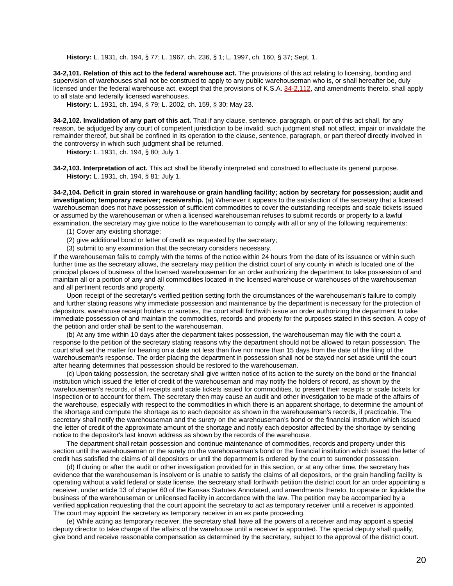**History:** L. 1931, ch. 194, § 77; L. 1967, ch. 236, § 1; L. 1997, ch. 160, § 37; Sept. 1.

**34-2,101. Relation of this act to the federal warehouse act.** The provisions of this act relating to licensing, bonding and supervision of warehouses shall not be construed to apply to any public warehouseman who is, or shall hereafter be, duly licensed under the federal warehouse act, except that the provisions of K.S.A. [34-2,112,](http://www.ksrevisor.org/statutes/chapters/ch34/034_002_0112.html) and amendments thereto, shall apply to all state and federally licensed warehouses.

**History:** L. 1931, ch. 194, § 79; L. 2002, ch. 159, § 30; May 23.

**34-2,102. Invalidation of any part of this act.** That if any clause, sentence, paragraph, or part of this act shall, for any reason, be adjudged by any court of competent jurisdiction to be invalid, such judgment shall not affect, impair or invalidate the remainder thereof, but shall be confined in its operation to the clause, sentence, paragraph, or part thereof directly involved in the controversy in which such judgment shall be returned.

**History:** L. 1931, ch. 194, § 80; July 1.

**34-2,103. Interpretation of act.** This act shall be liberally interpreted and construed to effectuate its general purpose. **History:** L. 1931, ch. 194, § 81; July 1.

**34-2,104. Deficit in grain stored in warehouse or grain handling facility; action by secretary for possession; audit and investigation; temporary receiver; receivership.** (a) Whenever it appears to the satisfaction of the secretary that a licensed warehouseman does not have possession of sufficient commodities to cover the outstanding receipts and scale tickets issued or assumed by the warehouseman or when a licensed warehouseman refuses to submit records or property to a lawful examination, the secretary may give notice to the warehouseman to comply with all or any of the following requirements:

- (1) Cover any existing shortage;
- (2) give additional bond or letter of credit as requested by the secretary;
- (3) submit to any examination that the secretary considers necessary.

If the warehouseman fails to comply with the terms of the notice within 24 hours from the date of its issuance or within such further time as the secretary allows, the secretary may petition the district court of any county in which is located one of the principal places of business of the licensed warehouseman for an order authorizing the department to take possession of and maintain all or a portion of any and all commodities located in the licensed warehouse or warehouses of the warehouseman and all pertinent records and property.

Upon receipt of the secretary's verified petition setting forth the circumstances of the warehouseman's failure to comply and further stating reasons why immediate possession and maintenance by the department is necessary for the protection of depositors, warehouse receipt holders or sureties, the court shall forthwith issue an order authorizing the department to take immediate possession of and maintain the commodities, records and property for the purposes stated in this section. A copy of the petition and order shall be sent to the warehouseman.

(b) At any time within 10 days after the department takes possession, the warehouseman may file with the court a response to the petition of the secretary stating reasons why the department should not be allowed to retain possession. The court shall set the matter for hearing on a date not less than five nor more than 15 days from the date of the filing of the warehouseman's response. The order placing the department in possession shall not be stayed nor set aside until the court after hearing determines that possession should be restored to the warehouseman.

(c) Upon taking possession, the secretary shall give written notice of its action to the surety on the bond or the financial institution which issued the letter of credit of the warehouseman and may notify the holders of record, as shown by the warehouseman's records, of all receipts and scale tickets issued for commodities, to present their receipts or scale tickets for inspection or to account for them. The secretary then may cause an audit and other investigation to be made of the affairs of the warehouse, especially with respect to the commodities in which there is an apparent shortage, to determine the amount of the shortage and compute the shortage as to each depositor as shown in the warehouseman's records, if practicable. The secretary shall notify the warehouseman and the surety on the warehouseman's bond or the financial institution which issued the letter of credit of the approximate amount of the shortage and notify each depositor affected by the shortage by sending notice to the depositor's last known address as shown by the records of the warehouse.

The department shall retain possession and continue maintenance of commodities, records and property under this section until the warehouseman or the surety on the warehouseman's bond or the financial institution which issued the letter of credit has satisfied the claims of all depositors or until the department is ordered by the court to surrender possession.

(d) If during or after the audit or other investigation provided for in this section, or at any other time, the secretary has evidence that the warehouseman is insolvent or is unable to satisfy the claims of all depositors, or the grain handling facility is operating without a valid federal or state license, the secretary shall forthwith petition the district court for an order appointing a receiver, under article 13 of chapter 60 of the Kansas Statutes Annotated, and amendments thereto, to operate or liquidate the business of the warehouseman or unlicensed facility in accordance with the law. The petition may be accompanied by a verified application requesting that the court appoint the secretary to act as temporary receiver until a receiver is appointed. The court may appoint the secretary as temporary receiver in an ex parte proceeding.

(e) While acting as temporary receiver, the secretary shall have all the powers of a receiver and may appoint a special deputy director to take charge of the affairs of the warehouse until a receiver is appointed. The special deputy shall qualify, give bond and receive reasonable compensation as determined by the secretary, subject to the approval of the district court.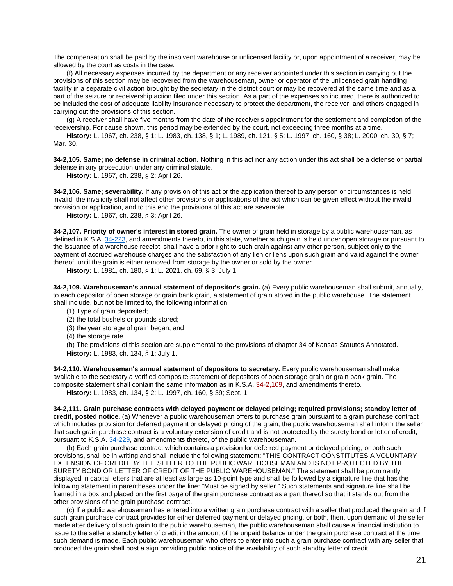The compensation shall be paid by the insolvent warehouse or unlicensed facility or, upon appointment of a receiver, may be allowed by the court as costs in the case.

(f) All necessary expenses incurred by the department or any receiver appointed under this section in carrying out the provisions of this section may be recovered from the warehouseman, owner or operator of the unlicensed grain handling facility in a separate civil action brought by the secretary in the district court or may be recovered at the same time and as a part of the seizure or receivership action filed under this section. As a part of the expenses so incurred, there is authorized to be included the cost of adequate liability insurance necessary to protect the department, the receiver, and others engaged in carrying out the provisions of this section.

(g) A receiver shall have five months from the date of the receiver's appointment for the settlement and completion of the receivership. For cause shown, this period may be extended by the court, not exceeding three months at a time.

**History:** L. 1967, ch. 238, § 1; L. 1983, ch. 138, § 1; L. 1989, ch. 121, § 5; L. 1997, ch. 160, § 38; L. 2000, ch. 30, § 7; Mar. 30.

**34-2,105. Same; no defense in criminal action.** Nothing in this act nor any action under this act shall be a defense or partial defense in any prosecution under any criminal statute.

**History:** L. 1967, ch. 238, § 2; April 26.

**34-2,106. Same; severability.** If any provision of this act or the application thereof to any person or circumstances is held invalid, the invalidity shall not affect other provisions or applications of the act which can be given effect without the invalid provision or application, and to this end the provisions of this act are severable.

**History:** L. 1967, ch. 238, § 3; April 26.

**34-2,107. Priority of owner's interest in stored grain.** The owner of grain held in storage by a public warehouseman, as defined in K.S.A. [34-223,](http://www.ksrevisor.org/statutes/chapters/ch34/034_002_0023.html) and amendments thereto, in this state, whether such grain is held under open storage or pursuant to the issuance of a warehouse receipt, shall have a prior right to such grain against any other person, subject only to the payment of accrued warehouse charges and the satisfaction of any lien or liens upon such grain and valid against the owner thereof, until the grain is either removed from storage by the owner or sold by the owner.

**History:** L. 1981, ch. 180, § 1; L. 2021, ch. 69, § 3; July 1.

**34-2,109. Warehouseman's annual statement of depositor's grain.** (a) Every public warehouseman shall submit, annually, to each depositor of open storage or grain bank grain, a statement of grain stored in the public warehouse. The statement shall include, but not be limited to, the following information:

- (1) Type of grain deposited;
- (2) the total bushels or pounds stored;
- (3) the year storage of grain began; and
- (4) the storage rate.

(b) The provisions of this section are supplemental to the provisions of chapter 34 of Kansas Statutes Annotated. **History:** L. 1983, ch. 134, § 1; July 1.

**34-2,110. Warehouseman's annual statement of depositors to secretary.** Every public warehouseman shall make available to the secretary a verified composite statement of depositors of open storage grain or grain bank grain. The composite statement shall contain the same information as in K.S.A. [34-2,109,](http://www.ksrevisor.org/statutes/chapters/ch34/034_002_0109.html) and amendments thereto.

**History:** L. 1983, ch. 134, § 2; L. 1997, ch. 160, § 39; Sept. 1.

**34-2,111. Grain purchase contracts with delayed payment or delayed pricing; required provisions; standby letter of credit, posted notice.** (a) Whenever a public warehouseman offers to purchase grain pursuant to a grain purchase contract which includes provision for deferred payment or delayed pricing of the grain, the public warehouseman shall inform the seller that such grain purchase contract is a voluntary extension of credit and is not protected by the surety bond or letter of credit, pursuant to K.S.A. [34-229,](http://www.ksrevisor.org/statutes/chapters/ch34/034_002_0029.html) and amendments thereto, of the public warehouseman.

(b) Each grain purchase contract which contains a provision for deferred payment or delayed pricing, or both such provisions, shall be in writing and shall include the following statement: "THIS CONTRACT CONSTITUTES A VOLUNTARY EXTENSION OF CREDIT BY THE SELLER TO THE PUBLIC WAREHOUSEMAN AND IS NOT PROTECTED BY THE SURETY BOND OR LETTER OF CREDIT OF THE PUBLIC WAREHOUSEMAN." The statement shall be prominently displayed in capital letters that are at least as large as 10-point type and shall be followed by a signature line that has the following statement in parentheses under the line: "Must be signed by seller." Such statements and signature line shall be framed in a box and placed on the first page of the grain purchase contract as a part thereof so that it stands out from the other provisions of the grain purchase contract.

(c) If a public warehouseman has entered into a written grain purchase contract with a seller that produced the grain and if such grain purchase contract provides for either deferred payment or delayed pricing, or both, then, upon demand of the seller made after delivery of such grain to the public warehouseman, the public warehouseman shall cause a financial institution to issue to the seller a standby letter of credit in the amount of the unpaid balance under the grain purchase contract at the time such demand is made. Each public warehouseman who offers to enter into such a grain purchase contract with any seller that produced the grain shall post a sign providing public notice of the availability of such standby letter of credit.